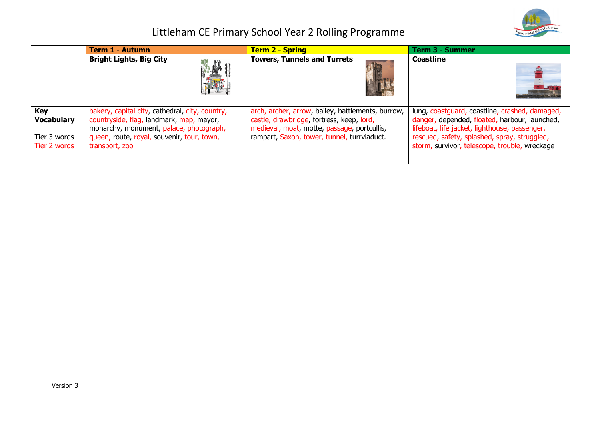

|                                                                 | <b>Term 1 - Autumn</b>                                                                                                                                                                                 | <b>Term 2 - Spring</b>                                                                                                                                                                       | <b>Term 3 - Summer</b>                                                                                                                                                                                                                            |
|-----------------------------------------------------------------|--------------------------------------------------------------------------------------------------------------------------------------------------------------------------------------------------------|----------------------------------------------------------------------------------------------------------------------------------------------------------------------------------------------|---------------------------------------------------------------------------------------------------------------------------------------------------------------------------------------------------------------------------------------------------|
|                                                                 | <b>Bright Lights, Big City</b><br>» 鸕 ₽*                                                                                                                                                               | <b>Towers, Tunnels and Turrets</b>                                                                                                                                                           | <b>Coastline</b>                                                                                                                                                                                                                                  |
| <b>Key</b><br><b>Vocabulary</b><br>Tier 3 words<br>Tier 2 words | bakery, capital city, cathedral, city, country,<br>countryside, flag, landmark, map, mayor,<br>monarchy, monument, palace, photograph,<br>queen, route, royal, souvenir, tour, town,<br>transport, zoo | arch, archer, arrow, bailey, battlements, burrow,<br>castle, drawbridge, fortress, keep, lord,<br>medieval, moat, motte, passage, portcullis,<br>rampart, Saxon, tower, tunnel, turrviaduct. | lung, coastguard, coastline, crashed, damaged,<br>danger, depended, floated, harbour, launched,<br>lifeboat, life jacket, lighthouse, passenger,<br>rescued, safety, splashed, spray, struggled,<br>storm, survivor, telescope, trouble, wreckage |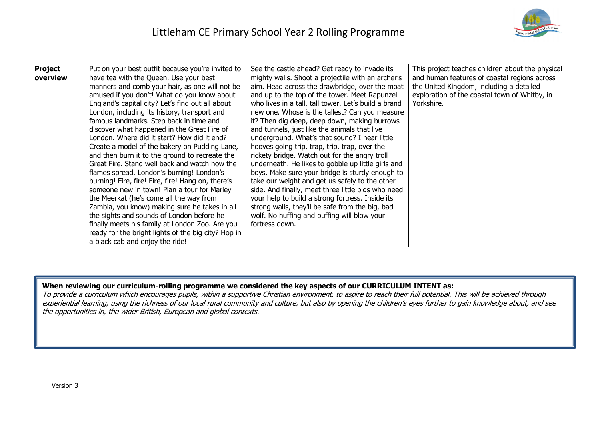| <b>Project</b> | Put on your best outfit because you're invited to   | See the castle ahead? Get ready to invade its        | This project teaches children about the physical |
|----------------|-----------------------------------------------------|------------------------------------------------------|--------------------------------------------------|
| overview       | have tea with the Queen. Use your best              | mighty walls. Shoot a projectile with an archer's    | and human features of coastal regions across     |
|                | manners and comb your hair, as one will not be      | aim. Head across the drawbridge, over the moat       | the United Kingdom, including a detailed         |
|                | amused if you don't! What do you know about         | and up to the top of the tower. Meet Rapunzel        | exploration of the coastal town of Whitby, in    |
|                | England's capital city? Let's find out all about    | who lives in a tall, tall tower. Let's build a brand | Yorkshire.                                       |
|                | London, including its history, transport and        | new one. Whose is the tallest? Can you measure       |                                                  |
|                | famous landmarks. Step back in time and             | it? Then dig deep, deep down, making burrows         |                                                  |
|                | discover what happened in the Great Fire of         | and tunnels, just like the animals that live         |                                                  |
|                | London. Where did it start? How did it end?         | underground. What's that sound? I hear little        |                                                  |
|                | Create a model of the bakery on Pudding Lane,       | hooves going trip, trap, trip, trap, over the        |                                                  |
|                | and then burn it to the ground to recreate the      | rickety bridge. Watch out for the angry troll        |                                                  |
|                | Great Fire. Stand well back and watch how the       | underneath. He likes to gobble up little girls and   |                                                  |
|                | flames spread. London's burning! London's           | boys. Make sure your bridge is sturdy enough to      |                                                  |
|                | burning! Fire, fire! Fire, fire! Hang on, there's   | take our weight and get us safely to the other       |                                                  |
|                | someone new in town! Plan a tour for Marley         | side. And finally, meet three little pigs who need   |                                                  |
|                | the Meerkat (he's come all the way from             | your help to build a strong fortress. Inside its     |                                                  |
|                | Zambia, you know) making sure he takes in all       | strong walls, they'll be safe from the big, bad      |                                                  |
|                | the sights and sounds of London before he           | wolf. No huffing and puffing will blow your          |                                                  |
|                | finally meets his family at London Zoo. Are you     | fortress down.                                       |                                                  |
|                | ready for the bright lights of the big city? Hop in |                                                      |                                                  |
|                | a black cab and enjoy the ride!                     |                                                      |                                                  |

#### **When reviewing our curriculum-rolling programme we considered the key aspects of our CURRICULUM INTENT as:**

To provide a curriculum which encourages pupils, within a supportive Christian environment, to aspire to reach their full potential. This will be achieved through experiential learning, using the richness of our local rural community and culture, but also by opening the children's eyes further to gain knowledge about, and see the opportunities in, the wider British, European and global contexts.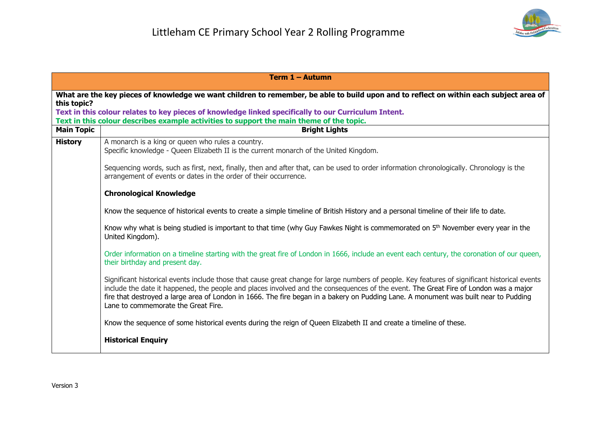

| Term 1 - Autumn                                                                                                                        |                                                                                                                                                                                                                                                                                                                                                                                                                                                                       |  |
|----------------------------------------------------------------------------------------------------------------------------------------|-----------------------------------------------------------------------------------------------------------------------------------------------------------------------------------------------------------------------------------------------------------------------------------------------------------------------------------------------------------------------------------------------------------------------------------------------------------------------|--|
| What are the key pieces of knowledge we want children to remember, be able to build upon and to reflect on within each subject area of |                                                                                                                                                                                                                                                                                                                                                                                                                                                                       |  |
| this topic?                                                                                                                            | Text in this colour relates to key pieces of knowledge linked specifically to our Curriculum Intent.                                                                                                                                                                                                                                                                                                                                                                  |  |
|                                                                                                                                        | Text in this colour describes example activities to support the main theme of the topic.                                                                                                                                                                                                                                                                                                                                                                              |  |
| <b>Main Topic</b>                                                                                                                      | <b>Bright Lights</b>                                                                                                                                                                                                                                                                                                                                                                                                                                                  |  |
| <b>History</b>                                                                                                                         | A monarch is a king or queen who rules a country.<br>Specific knowledge - Queen Elizabeth II is the current monarch of the United Kingdom.                                                                                                                                                                                                                                                                                                                            |  |
|                                                                                                                                        | Sequencing words, such as first, next, finally, then and after that, can be used to order information chronologically. Chronology is the<br>arrangement of events or dates in the order of their occurrence.                                                                                                                                                                                                                                                          |  |
|                                                                                                                                        | <b>Chronological Knowledge</b>                                                                                                                                                                                                                                                                                                                                                                                                                                        |  |
|                                                                                                                                        | Know the sequence of historical events to create a simple timeline of British History and a personal timeline of their life to date.                                                                                                                                                                                                                                                                                                                                  |  |
|                                                                                                                                        | Know why what is being studied is important to that time (why Guy Fawkes Night is commemorated on 5 <sup>th</sup> November every year in the<br>United Kingdom).                                                                                                                                                                                                                                                                                                      |  |
|                                                                                                                                        | Order information on a timeline starting with the great fire of London in 1666, include an event each century, the coronation of our queen,<br>their birthday and present day.                                                                                                                                                                                                                                                                                        |  |
|                                                                                                                                        | Significant historical events include those that cause great change for large numbers of people. Key features of significant historical events<br>include the date it happened, the people and places involved and the consequences of the event. The Great Fire of London was a major<br>fire that destroyed a large area of London in 1666. The fire began in a bakery on Pudding Lane. A monument was built near to Pudding<br>Lane to commemorate the Great Fire. |  |
|                                                                                                                                        | Know the sequence of some historical events during the reign of Queen Elizabeth II and create a timeline of these.                                                                                                                                                                                                                                                                                                                                                    |  |
|                                                                                                                                        | <b>Historical Enquiry</b>                                                                                                                                                                                                                                                                                                                                                                                                                                             |  |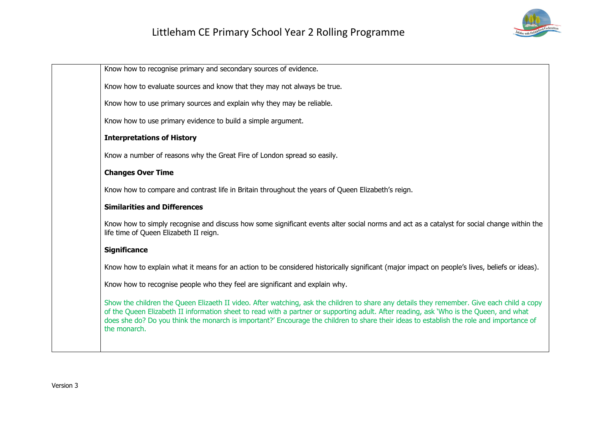

| Know how to recognise primary and secondary sources of evidence.                                                                                                                                                                                                                                                                                                                                                                                 |
|--------------------------------------------------------------------------------------------------------------------------------------------------------------------------------------------------------------------------------------------------------------------------------------------------------------------------------------------------------------------------------------------------------------------------------------------------|
| Know how to evaluate sources and know that they may not always be true.                                                                                                                                                                                                                                                                                                                                                                          |
| Know how to use primary sources and explain why they may be reliable.                                                                                                                                                                                                                                                                                                                                                                            |
| Know how to use primary evidence to build a simple argument.                                                                                                                                                                                                                                                                                                                                                                                     |
| <b>Interpretations of History</b>                                                                                                                                                                                                                                                                                                                                                                                                                |
| Know a number of reasons why the Great Fire of London spread so easily.                                                                                                                                                                                                                                                                                                                                                                          |
| <b>Changes Over Time</b>                                                                                                                                                                                                                                                                                                                                                                                                                         |
| Know how to compare and contrast life in Britain throughout the years of Queen Elizabeth's reign.                                                                                                                                                                                                                                                                                                                                                |
| <b>Similarities and Differences</b>                                                                                                                                                                                                                                                                                                                                                                                                              |
| Know how to simply recognise and discuss how some significant events alter social norms and act as a catalyst for social change within the<br>life time of Queen Elizabeth II reign.                                                                                                                                                                                                                                                             |
| <b>Significance</b>                                                                                                                                                                                                                                                                                                                                                                                                                              |
| Know how to explain what it means for an action to be considered historically significant (major impact on people's lives, beliefs or ideas).                                                                                                                                                                                                                                                                                                    |
| Know how to recognise people who they feel are significant and explain why.                                                                                                                                                                                                                                                                                                                                                                      |
| Show the children the Queen Elizaeth II video. After watching, ask the children to share any details they remember. Give each child a copy<br>of the Queen Elizabeth II information sheet to read with a partner or supporting adult. After reading, ask 'Who is the Queen, and what<br>does she do? Do you think the monarch is important?' Encourage the children to share their ideas to establish the role and importance of<br>the monarch. |
|                                                                                                                                                                                                                                                                                                                                                                                                                                                  |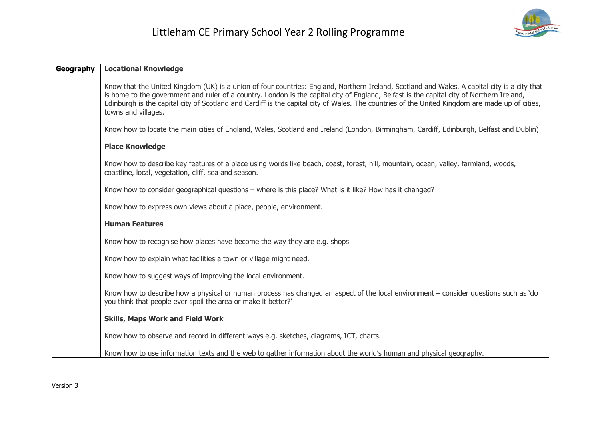

| Geography | <b>Locational Knowledge</b>                                                                                                                                                                                                                                                                                                                                                                                                                                        |  |
|-----------|--------------------------------------------------------------------------------------------------------------------------------------------------------------------------------------------------------------------------------------------------------------------------------------------------------------------------------------------------------------------------------------------------------------------------------------------------------------------|--|
|           | Know that the United Kingdom (UK) is a union of four countries: England, Northern Ireland, Scotland and Wales. A capital city is a city that<br>is home to the government and ruler of a country. London is the capital city of England, Belfast is the capital city of Northern Ireland,<br>Edinburgh is the capital city of Scotland and Cardiff is the capital city of Wales. The countries of the United Kingdom are made up of cities,<br>towns and villages. |  |
|           | Know how to locate the main cities of England, Wales, Scotland and Ireland (London, Birmingham, Cardiff, Edinburgh, Belfast and Dublin)                                                                                                                                                                                                                                                                                                                            |  |
|           | <b>Place Knowledge</b>                                                                                                                                                                                                                                                                                                                                                                                                                                             |  |
|           | Know how to describe key features of a place using words like beach, coast, forest, hill, mountain, ocean, valley, farmland, woods,<br>coastline, local, vegetation, cliff, sea and season.                                                                                                                                                                                                                                                                        |  |
|           | Know how to consider geographical questions – where is this place? What is it like? How has it changed?                                                                                                                                                                                                                                                                                                                                                            |  |
|           | Know how to express own views about a place, people, environment.                                                                                                                                                                                                                                                                                                                                                                                                  |  |
|           | <b>Human Features</b>                                                                                                                                                                                                                                                                                                                                                                                                                                              |  |
|           | Know how to recognise how places have become the way they are e.g. shops                                                                                                                                                                                                                                                                                                                                                                                           |  |
|           | Know how to explain what facilities a town or village might need.                                                                                                                                                                                                                                                                                                                                                                                                  |  |
|           | Know how to suggest ways of improving the local environment.                                                                                                                                                                                                                                                                                                                                                                                                       |  |
|           | Know how to describe how a physical or human process has changed an aspect of the local environment – consider questions such as 'do<br>you think that people ever spoil the area or make it better?'                                                                                                                                                                                                                                                              |  |
|           | <b>Skills, Maps Work and Field Work</b>                                                                                                                                                                                                                                                                                                                                                                                                                            |  |
|           | Know how to observe and record in different ways e.g. sketches, diagrams, ICT, charts.                                                                                                                                                                                                                                                                                                                                                                             |  |
|           | Know how to use information texts and the web to gather information about the world's human and physical geography.                                                                                                                                                                                                                                                                                                                                                |  |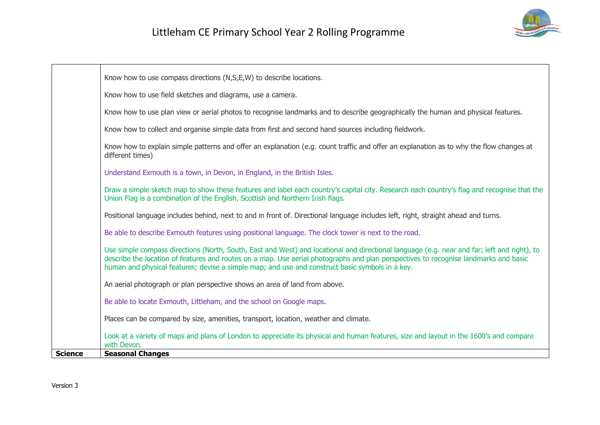

|                | Know how to use compass directions (N,S,E,W) to describe locations.                                                                                                                                                                                                                                                                                                                    |
|----------------|----------------------------------------------------------------------------------------------------------------------------------------------------------------------------------------------------------------------------------------------------------------------------------------------------------------------------------------------------------------------------------------|
|                | Know how to use field sketches and diagrams, use a camera.                                                                                                                                                                                                                                                                                                                             |
|                | Know how to use plan view or aerial photos to recognise landmarks and to describe geographically the human and physical features.                                                                                                                                                                                                                                                      |
|                | Know how to collect and organise simple data from first and second hand sources including fieldwork.                                                                                                                                                                                                                                                                                   |
|                | Know how to explain simple patterns and offer an explanation (e.g. count traffic and offer an explanation as to why the flow changes at<br>different times)                                                                                                                                                                                                                            |
|                | Understand Exmouth is a town, in Devon, in England, in the British Isles.                                                                                                                                                                                                                                                                                                              |
|                | Draw a simple sketch map to show these features and label each country's capital city. Research each country's flag and recognise that the<br>Union Flag is a combination of the English, Scottish and Northern Irish flags.                                                                                                                                                           |
|                | Positional language includes behind, next to and in front of. Directional language includes left, right, straight ahead and turns.                                                                                                                                                                                                                                                     |
|                | Be able to describe Exmouth features using positional language. The clock tower is next to the road.                                                                                                                                                                                                                                                                                   |
|                | Use simple compass directions (North, South, East and West) and locational and directional language (e.g. near and far; left and right), to<br>describe the location of features and routes on a map. Use aerial photographs and plan perspectives to recognise landmarks and basic<br>human and physical features; devise a simple map; and use and construct basic symbols in a key. |
|                | An aerial photograph or plan perspective shows an area of land from above.                                                                                                                                                                                                                                                                                                             |
|                | Be able to locate Exmouth, Littleham, and the school on Google maps.                                                                                                                                                                                                                                                                                                                   |
|                | Places can be compared by size, amenities, transport, location, weather and climate.                                                                                                                                                                                                                                                                                                   |
|                | Look at a variety of maps and plans of London to appreciate its physical and human features, size and layout in the 1600's and compare<br>with Devon.                                                                                                                                                                                                                                  |
| <b>Science</b> | <b>Seasonal Changes</b>                                                                                                                                                                                                                                                                                                                                                                |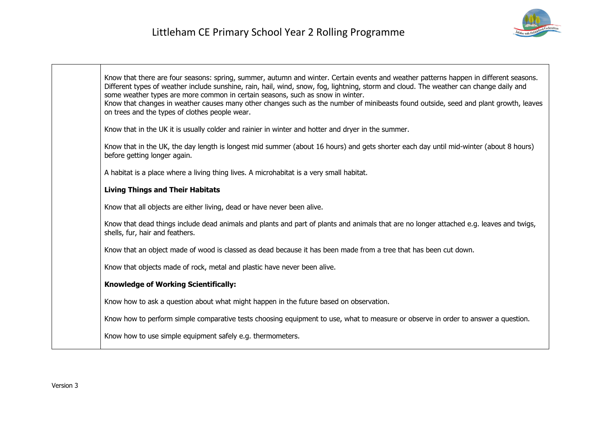

| Know that there are four seasons: spring, summer, autumn and winter. Certain events and weather patterns happen in different seasons.<br>Different types of weather include sunshine, rain, hail, wind, snow, fog, lightning, storm and cloud. The weather can change daily and<br>some weather types are more common in certain seasons, such as snow in winter.<br>Know that changes in weather causes many other changes such as the number of minibeasts found outside, seed and plant growth, leaves<br>on trees and the types of clothes people wear. |
|-------------------------------------------------------------------------------------------------------------------------------------------------------------------------------------------------------------------------------------------------------------------------------------------------------------------------------------------------------------------------------------------------------------------------------------------------------------------------------------------------------------------------------------------------------------|
| Know that in the UK it is usually colder and rainier in winter and hotter and dryer in the summer.                                                                                                                                                                                                                                                                                                                                                                                                                                                          |
| Know that in the UK, the day length is longest mid summer (about 16 hours) and gets shorter each day until mid-winter (about 8 hours)<br>before getting longer again.                                                                                                                                                                                                                                                                                                                                                                                       |
| A habitat is a place where a living thing lives. A microhabitat is a very small habitat.                                                                                                                                                                                                                                                                                                                                                                                                                                                                    |
| <b>Living Things and Their Habitats</b>                                                                                                                                                                                                                                                                                                                                                                                                                                                                                                                     |
| Know that all objects are either living, dead or have never been alive.                                                                                                                                                                                                                                                                                                                                                                                                                                                                                     |
| Know that dead things include dead animals and plants and part of plants and animals that are no longer attached e.g. leaves and twigs,<br>shells, fur, hair and feathers.                                                                                                                                                                                                                                                                                                                                                                                  |
| Know that an object made of wood is classed as dead because it has been made from a tree that has been cut down.                                                                                                                                                                                                                                                                                                                                                                                                                                            |
| Know that objects made of rock, metal and plastic have never been alive.                                                                                                                                                                                                                                                                                                                                                                                                                                                                                    |
| <b>Knowledge of Working Scientifically:</b>                                                                                                                                                                                                                                                                                                                                                                                                                                                                                                                 |
| Know how to ask a question about what might happen in the future based on observation.                                                                                                                                                                                                                                                                                                                                                                                                                                                                      |
| Know how to perform simple comparative tests choosing equipment to use, what to measure or observe in order to answer a question.                                                                                                                                                                                                                                                                                                                                                                                                                           |
| Know how to use simple equipment safely e.g. thermometers.                                                                                                                                                                                                                                                                                                                                                                                                                                                                                                  |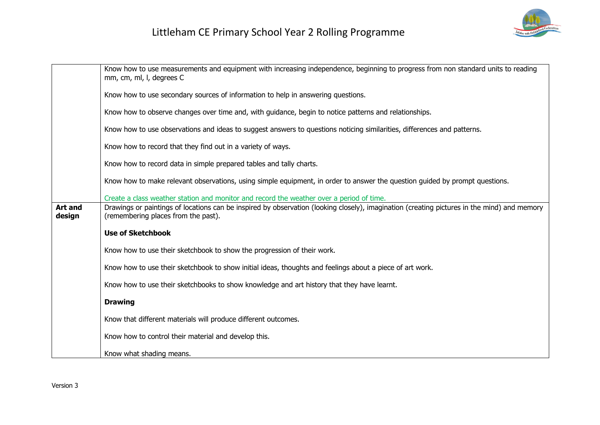

|                          | Know how to use measurements and equipment with increasing independence, beginning to progress from non standard units to reading<br>mm, cm, ml, l, degrees C                      |  |
|--------------------------|------------------------------------------------------------------------------------------------------------------------------------------------------------------------------------|--|
|                          | Know how to use secondary sources of information to help in answering questions.                                                                                                   |  |
|                          | Know how to observe changes over time and, with guidance, begin to notice patterns and relationships.                                                                              |  |
|                          | Know how to use observations and ideas to suggest answers to questions noticing similarities, differences and patterns.                                                            |  |
|                          | Know how to record that they find out in a variety of ways.                                                                                                                        |  |
|                          | Know how to record data in simple prepared tables and tally charts.                                                                                                                |  |
|                          | Know how to make relevant observations, using simple equipment, in order to answer the question guided by prompt questions.                                                        |  |
|                          | Create a class weather station and monitor and record the weather over a period of time.                                                                                           |  |
| <b>Art and</b><br>design | Drawings or paintings of locations can be inspired by observation (looking closely), imagination (creating pictures in the mind) and memory<br>(remembering places from the past). |  |
|                          | <b>Use of Sketchbook</b>                                                                                                                                                           |  |
|                          | Know how to use their sketchbook to show the progression of their work.                                                                                                            |  |
|                          | Know how to use their sketchbook to show initial ideas, thoughts and feelings about a piece of art work.                                                                           |  |
|                          | Know how to use their sketchbooks to show knowledge and art history that they have learnt.                                                                                         |  |
|                          | <b>Drawing</b>                                                                                                                                                                     |  |
|                          | Know that different materials will produce different outcomes.                                                                                                                     |  |
|                          | Know how to control their material and develop this.                                                                                                                               |  |
|                          | Know what shading means.                                                                                                                                                           |  |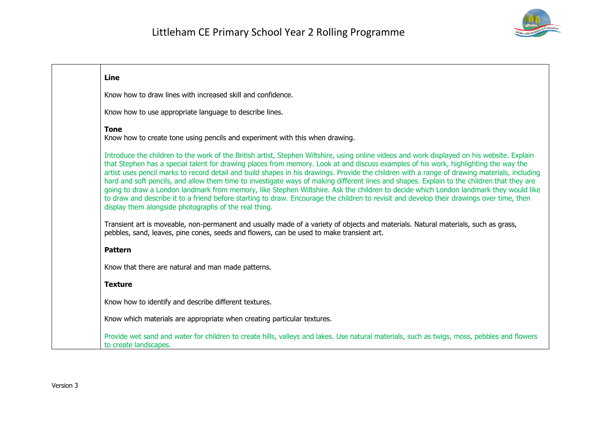

| Line                                                                                                                                                                                                                                                                                                                                                                                                                                                                                                                                                                                                                                                                                                                                                                                                                                                                                                                              |  |
|-----------------------------------------------------------------------------------------------------------------------------------------------------------------------------------------------------------------------------------------------------------------------------------------------------------------------------------------------------------------------------------------------------------------------------------------------------------------------------------------------------------------------------------------------------------------------------------------------------------------------------------------------------------------------------------------------------------------------------------------------------------------------------------------------------------------------------------------------------------------------------------------------------------------------------------|--|
| Know how to draw lines with increased skill and confidence.                                                                                                                                                                                                                                                                                                                                                                                                                                                                                                                                                                                                                                                                                                                                                                                                                                                                       |  |
| Know how to use appropriate language to describe lines.                                                                                                                                                                                                                                                                                                                                                                                                                                                                                                                                                                                                                                                                                                                                                                                                                                                                           |  |
| <b>Tone</b><br>Know how to create tone using pencils and experiment with this when drawing.                                                                                                                                                                                                                                                                                                                                                                                                                                                                                                                                                                                                                                                                                                                                                                                                                                       |  |
| Introduce the children to the work of the British artist, Stephen Wiltshire, using online videos and work displayed on his website. Explain<br>that Stephen has a special talent for drawing places from memory. Look at and discuss examples of his work, highlighting the way the<br>artist uses pencil marks to record detail and build shapes in his drawings. Provide the children with a range of drawing materials, including<br>hard and soft pencils, and allow them time to investigate ways of making different lines and shapes. Explain to the children that they are<br>going to draw a London landmark from memory, like Stephen Wiltshire. Ask the children to decide which London landmark they would like<br>to draw and describe it to a friend before starting to draw. Encourage the children to revisit and develop their drawings over time, then<br>display them alongside photographs of the real thing. |  |
| Transient art is moveable, non-permanent and usually made of a variety of objects and materials. Natural materials, such as grass,<br>pebbles, sand, leaves, pine cones, seeds and flowers, can be used to make transient art.                                                                                                                                                                                                                                                                                                                                                                                                                                                                                                                                                                                                                                                                                                    |  |
| <b>Pattern</b>                                                                                                                                                                                                                                                                                                                                                                                                                                                                                                                                                                                                                                                                                                                                                                                                                                                                                                                    |  |
| Know that there are natural and man made patterns.                                                                                                                                                                                                                                                                                                                                                                                                                                                                                                                                                                                                                                                                                                                                                                                                                                                                                |  |
| <b>Texture</b>                                                                                                                                                                                                                                                                                                                                                                                                                                                                                                                                                                                                                                                                                                                                                                                                                                                                                                                    |  |
| Know how to identify and describe different textures.                                                                                                                                                                                                                                                                                                                                                                                                                                                                                                                                                                                                                                                                                                                                                                                                                                                                             |  |
| Know which materials are appropriate when creating particular textures.                                                                                                                                                                                                                                                                                                                                                                                                                                                                                                                                                                                                                                                                                                                                                                                                                                                           |  |
| Provide wet sand and water for children to create hills, valleys and lakes. Use natural materials, such as twigs, moss, pebbles and flowers<br>to create landscapes.                                                                                                                                                                                                                                                                                                                                                                                                                                                                                                                                                                                                                                                                                                                                                              |  |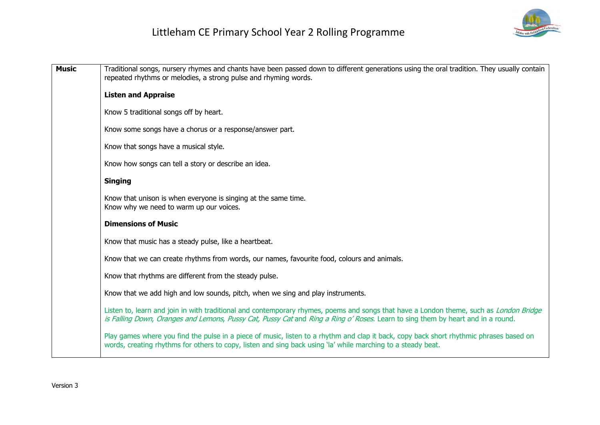

| <b>Music</b> | Traditional songs, nursery rhymes and chants have been passed down to different generations using the oral tradition. They usually contain<br>repeated rhythms or melodies, a strong pulse and rhyming words.                                                             |  |
|--------------|---------------------------------------------------------------------------------------------------------------------------------------------------------------------------------------------------------------------------------------------------------------------------|--|
|              | <b>Listen and Appraise</b>                                                                                                                                                                                                                                                |  |
|              | Know 5 traditional songs off by heart.                                                                                                                                                                                                                                    |  |
|              | Know some songs have a chorus or a response/answer part.                                                                                                                                                                                                                  |  |
|              | Know that songs have a musical style.                                                                                                                                                                                                                                     |  |
|              | Know how songs can tell a story or describe an idea.                                                                                                                                                                                                                      |  |
|              | <b>Singing</b>                                                                                                                                                                                                                                                            |  |
|              | Know that unison is when everyone is singing at the same time.<br>Know why we need to warm up our voices.                                                                                                                                                                 |  |
|              | <b>Dimensions of Music</b>                                                                                                                                                                                                                                                |  |
|              | Know that music has a steady pulse, like a heartbeat.                                                                                                                                                                                                                     |  |
|              | Know that we can create rhythms from words, our names, favourite food, colours and animals.                                                                                                                                                                               |  |
|              | Know that rhythms are different from the steady pulse.                                                                                                                                                                                                                    |  |
|              | Know that we add high and low sounds, pitch, when we sing and play instruments.                                                                                                                                                                                           |  |
|              | Listen to, learn and join in with traditional and contemporary rhymes, poems and songs that have a London theme, such as London Bridge<br>is Falling Down, Oranges and Lemons, Pussy Cat, Pussy Cat and Ring a Ring o' Roses. Learn to sing them by heart and in a round. |  |
|              | Play games where you find the pulse in a piece of music, listen to a rhythm and clap it back, copy back short rhythmic phrases based on<br>words, creating rhythms for others to copy, listen and sing back using 'la' while marching to a steady beat.                   |  |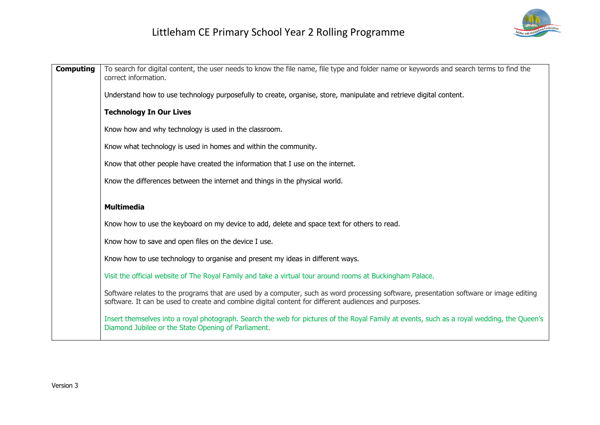

| <b>Computing</b> | To search for digital content, the user needs to know the file name, file type and folder name or keywords and search terms to find the<br>correct information.                                                                                |  |
|------------------|------------------------------------------------------------------------------------------------------------------------------------------------------------------------------------------------------------------------------------------------|--|
|                  | Understand how to use technology purposefully to create, organise, store, manipulate and retrieve digital content.                                                                                                                             |  |
|                  | <b>Technology In Our Lives</b>                                                                                                                                                                                                                 |  |
|                  | Know how and why technology is used in the classroom.                                                                                                                                                                                          |  |
|                  | Know what technology is used in homes and within the community.                                                                                                                                                                                |  |
|                  | Know that other people have created the information that I use on the internet.                                                                                                                                                                |  |
|                  | Know the differences between the internet and things in the physical world.                                                                                                                                                                    |  |
|                  | <b>Multimedia</b>                                                                                                                                                                                                                              |  |
|                  | Know how to use the keyboard on my device to add, delete and space text for others to read.                                                                                                                                                    |  |
|                  | Know how to save and open files on the device I use.                                                                                                                                                                                           |  |
|                  | Know how to use technology to organise and present my ideas in different ways.                                                                                                                                                                 |  |
|                  | Visit the official website of The Royal Family and take a virtual tour around rooms at Buckingham Palace.                                                                                                                                      |  |
|                  | Software relates to the programs that are used by a computer, such as word processing software, presentation software or image editing<br>software. It can be used to create and combine digital content for different audiences and purposes. |  |
|                  | Insert themselves into a royal photograph. Search the web for pictures of the Royal Family at events, such as a royal wedding, the Queen's<br>Diamond Jubilee or the State Opening of Parliament.                                              |  |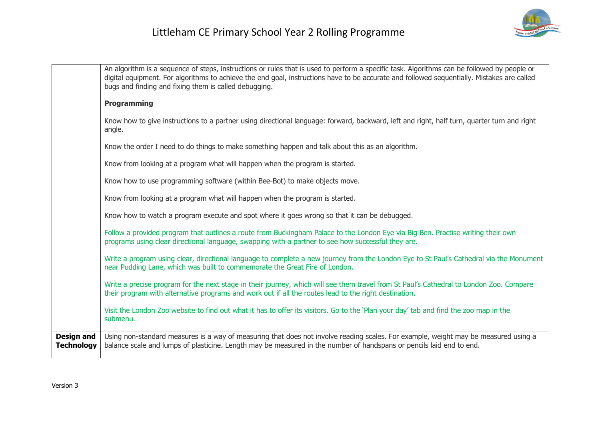

|                                        | An algorithm is a sequence of steps, instructions or rules that is used to perform a specific task. Algorithms can be followed by people or<br>digital equipment. For algorithms to achieve the end goal, instructions have to be accurate and followed sequentially. Mistakes are called<br>bugs and finding and fixing them is called debugging. |
|----------------------------------------|----------------------------------------------------------------------------------------------------------------------------------------------------------------------------------------------------------------------------------------------------------------------------------------------------------------------------------------------------|
|                                        | <b>Programming</b>                                                                                                                                                                                                                                                                                                                                 |
|                                        | Know how to give instructions to a partner using directional language: forward, backward, left and right, half turn, quarter turn and right<br>angle.                                                                                                                                                                                              |
|                                        | Know the order I need to do things to make something happen and talk about this as an algorithm.                                                                                                                                                                                                                                                   |
|                                        | Know from looking at a program what will happen when the program is started.                                                                                                                                                                                                                                                                       |
|                                        | Know how to use programming software (within Bee-Bot) to make objects move.                                                                                                                                                                                                                                                                        |
|                                        | Know from looking at a program what will happen when the program is started.                                                                                                                                                                                                                                                                       |
|                                        | Know how to watch a program execute and spot where it goes wrong so that it can be debugged.                                                                                                                                                                                                                                                       |
|                                        | Follow a provided program that outlines a route from Buckingham Palace to the London Eye via Big Ben. Practise writing their own<br>programs using clear directional language, swapping with a partner to see how successful they are.                                                                                                             |
|                                        | Write a program using clear, directional language to complete a new journey from the London Eye to St Paul's Cathedral via the Monument<br>near Pudding Lane, which was built to commemorate the Great Fire of London.                                                                                                                             |
|                                        | Write a precise program for the next stage in their journey, which will see them travel from St Paul's Cathedral to London Zoo. Compare<br>their program with alternative programs and work out if all the routes lead to the right destination.                                                                                                   |
|                                        | Visit the London Zoo website to find out what it has to offer its visitors. Go to the 'Plan your day' tab and find the zoo map in the<br>submenu.                                                                                                                                                                                                  |
| <b>Design and</b><br><b>Technology</b> | Using non-standard measures is a way of measuring that does not involve reading scales. For example, weight may be measured using a<br>balance scale and lumps of plasticine. Length may be measured in the number of handspans or pencils laid end to end.                                                                                        |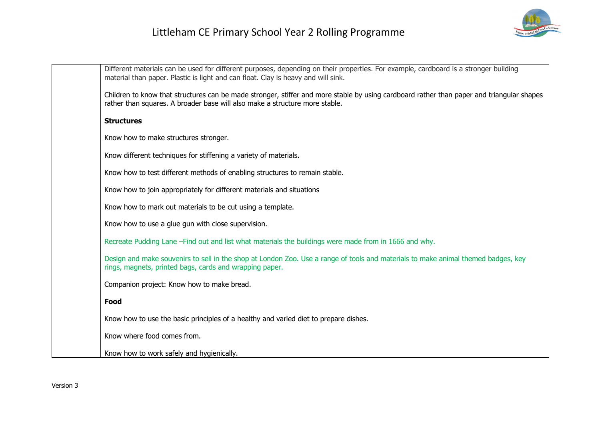

| Different materials can be used for different purposes, depending on their properties. For example, cardboard is a stronger building<br>material than paper. Plastic is light and can float. Clay is heavy and will sink. |
|---------------------------------------------------------------------------------------------------------------------------------------------------------------------------------------------------------------------------|
| Children to know that structures can be made stronger, stiffer and more stable by using cardboard rather than paper and triangular shapes<br>rather than squares. A broader base will also make a structure more stable.  |
| <b>Structures</b>                                                                                                                                                                                                         |
| Know how to make structures stronger.                                                                                                                                                                                     |
| Know different techniques for stiffening a variety of materials.                                                                                                                                                          |
| Know how to test different methods of enabling structures to remain stable.                                                                                                                                               |
| Know how to join appropriately for different materials and situations                                                                                                                                                     |
| Know how to mark out materials to be cut using a template.                                                                                                                                                                |
| Know how to use a glue gun with close supervision.                                                                                                                                                                        |
| Recreate Pudding Lane - Find out and list what materials the buildings were made from in 1666 and why.                                                                                                                    |
| Design and make souvenirs to sell in the shop at London Zoo. Use a range of tools and materials to make animal themed badges, key<br>rings, magnets, printed bags, cards and wrapping paper.                              |
| Companion project: Know how to make bread.                                                                                                                                                                                |
| Food                                                                                                                                                                                                                      |
| Know how to use the basic principles of a healthy and varied diet to prepare dishes.                                                                                                                                      |
| Know where food comes from.                                                                                                                                                                                               |
| Know how to work safely and hygienically.                                                                                                                                                                                 |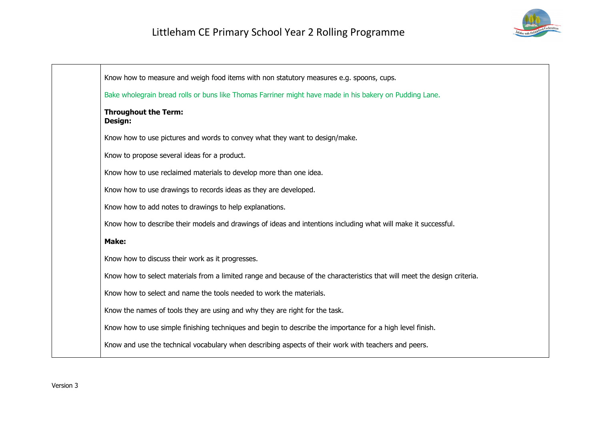

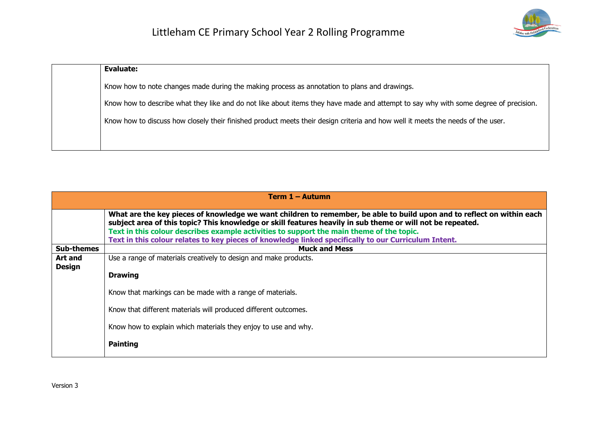

| <b>Evaluate:</b>                                                                                                                     |
|--------------------------------------------------------------------------------------------------------------------------------------|
| Know how to note changes made during the making process as annotation to plans and drawings.                                         |
| Know how to describe what they like and do not like about items they have made and attempt to say why with some degree of precision. |
| Know how to discuss how closely their finished product meets their design criteria and how well it meets the needs of the user.      |
|                                                                                                                                      |

|                          | Term 1 – Autumn                                                                                                                                                                                                                      |
|--------------------------|--------------------------------------------------------------------------------------------------------------------------------------------------------------------------------------------------------------------------------------|
|                          | What are the key pieces of knowledge we want children to remember, be able to build upon and to reflect on within each<br>subject area of this topic? This knowledge or skill features heavily in sub theme or will not be repeated. |
|                          | Text in this colour describes example activities to support the main theme of the topic.                                                                                                                                             |
|                          | Text in this colour relates to key pieces of knowledge linked specifically to our Curriculum Intent.                                                                                                                                 |
| <b>Sub-themes</b>        | <b>Muck and Mess</b>                                                                                                                                                                                                                 |
| Art and<br><b>Design</b> | Use a range of materials creatively to design and make products.                                                                                                                                                                     |
|                          | <b>Drawing</b>                                                                                                                                                                                                                       |
|                          | Know that markings can be made with a range of materials.                                                                                                                                                                            |
|                          | Know that different materials will produced different outcomes.                                                                                                                                                                      |
|                          | Know how to explain which materials they enjoy to use and why.                                                                                                                                                                       |
|                          | <b>Painting</b>                                                                                                                                                                                                                      |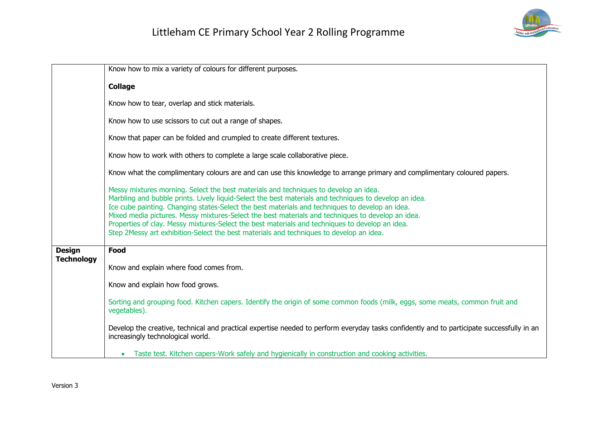

|                                    | Know how to mix a variety of colours for different purposes.                                                                                                                                                                                                                                                                                                                                                                                                                                                                                                                                         |
|------------------------------------|------------------------------------------------------------------------------------------------------------------------------------------------------------------------------------------------------------------------------------------------------------------------------------------------------------------------------------------------------------------------------------------------------------------------------------------------------------------------------------------------------------------------------------------------------------------------------------------------------|
|                                    | <b>Collage</b>                                                                                                                                                                                                                                                                                                                                                                                                                                                                                                                                                                                       |
|                                    | Know how to tear, overlap and stick materials.                                                                                                                                                                                                                                                                                                                                                                                                                                                                                                                                                       |
|                                    | Know how to use scissors to cut out a range of shapes.                                                                                                                                                                                                                                                                                                                                                                                                                                                                                                                                               |
|                                    | Know that paper can be folded and crumpled to create different textures.                                                                                                                                                                                                                                                                                                                                                                                                                                                                                                                             |
|                                    | Know how to work with others to complete a large scale collaborative piece.                                                                                                                                                                                                                                                                                                                                                                                                                                                                                                                          |
|                                    | Know what the complimentary colours are and can use this knowledge to arrange primary and complimentary coloured papers.                                                                                                                                                                                                                                                                                                                                                                                                                                                                             |
|                                    | Messy mixtures morning. Select the best materials and techniques to develop an idea.<br>Marbling and bubble prints. Lively liquid-Select the best materials and techniques to develop an idea.<br>Ice cube painting. Changing states-Select the best materials and techniques to develop an idea.<br>Mixed media pictures. Messy mixtures-Select the best materials and techniques to develop an idea.<br>Properties of clay. Messy mixtures-Select the best materials and techniques to develop an idea.<br>Step 2Messy art exhibition-Select the best materials and techniques to develop an idea. |
| <b>Design</b><br><b>Technology</b> | Food                                                                                                                                                                                                                                                                                                                                                                                                                                                                                                                                                                                                 |
|                                    | Know and explain where food comes from.                                                                                                                                                                                                                                                                                                                                                                                                                                                                                                                                                              |
|                                    | Know and explain how food grows.                                                                                                                                                                                                                                                                                                                                                                                                                                                                                                                                                                     |
|                                    | Sorting and grouping food. Kitchen capers. Identify the origin of some common foods (milk, eggs, some meats, common fruit and<br>vegetables).                                                                                                                                                                                                                                                                                                                                                                                                                                                        |
|                                    | Develop the creative, technical and practical expertise needed to perform everyday tasks confidently and to participate successfully in an<br>increasingly technological world.                                                                                                                                                                                                                                                                                                                                                                                                                      |
|                                    | Taste test. Kitchen capers-Work safely and hygienically in construction and cooking activities.                                                                                                                                                                                                                                                                                                                                                                                                                                                                                                      |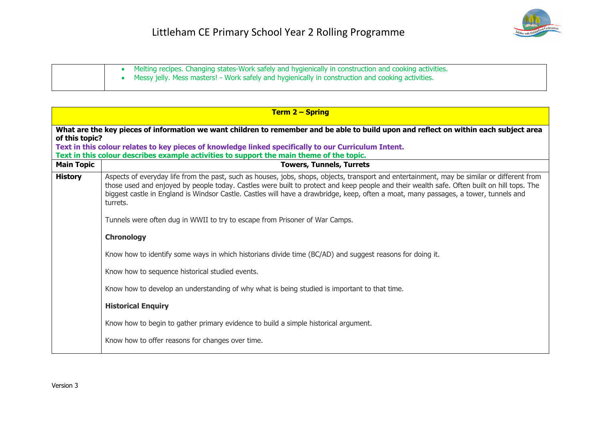

|  | Melting recipes. Changing states-Work safely and hygienically in construction and cooking activities.<br>Messy jelly. Mess masters! - Work safely and hygienically in construction and cooking activities. |
|--|------------------------------------------------------------------------------------------------------------------------------------------------------------------------------------------------------------|
|  |                                                                                                                                                                                                            |

|                                                                                                                                                                                                                                                                 | <b>Term 2 - Spring</b>                                                                                                                                                                                                                                                                                                                                                                                                                        |  |
|-----------------------------------------------------------------------------------------------------------------------------------------------------------------------------------------------------------------------------------------------------------------|-----------------------------------------------------------------------------------------------------------------------------------------------------------------------------------------------------------------------------------------------------------------------------------------------------------------------------------------------------------------------------------------------------------------------------------------------|--|
| What are the key pieces of information we want children to remember and be able to build upon and reflect on within each subject area<br>of this topic?<br>Text in this colour relates to key pieces of knowledge linked specifically to our Curriculum Intent. |                                                                                                                                                                                                                                                                                                                                                                                                                                               |  |
| <b>Main Topic</b>                                                                                                                                                                                                                                               | Text in this colour describes example activities to support the main theme of the topic.<br><b>Towers, Tunnels, Turrets</b>                                                                                                                                                                                                                                                                                                                   |  |
| <b>History</b>                                                                                                                                                                                                                                                  | Aspects of everyday life from the past, such as houses, jobs, shops, objects, transport and entertainment, may be similar or different from<br>those used and enjoyed by people today. Castles were built to protect and keep people and their wealth safe. Often built on hill tops. The<br>biggest castle in England is Windsor Castle. Castles will have a drawbridge, keep, often a moat, many passages, a tower, tunnels and<br>turrets. |  |
|                                                                                                                                                                                                                                                                 | Tunnels were often dug in WWII to try to escape from Prisoner of War Camps.                                                                                                                                                                                                                                                                                                                                                                   |  |
|                                                                                                                                                                                                                                                                 | <b>Chronology</b>                                                                                                                                                                                                                                                                                                                                                                                                                             |  |
|                                                                                                                                                                                                                                                                 | Know how to identify some ways in which historians divide time (BC/AD) and suggest reasons for doing it.                                                                                                                                                                                                                                                                                                                                      |  |
|                                                                                                                                                                                                                                                                 | Know how to sequence historical studied events.                                                                                                                                                                                                                                                                                                                                                                                               |  |
|                                                                                                                                                                                                                                                                 | Know how to develop an understanding of why what is being studied is important to that time.                                                                                                                                                                                                                                                                                                                                                  |  |
|                                                                                                                                                                                                                                                                 | <b>Historical Enquiry</b>                                                                                                                                                                                                                                                                                                                                                                                                                     |  |
|                                                                                                                                                                                                                                                                 | Know how to begin to gather primary evidence to build a simple historical argument.                                                                                                                                                                                                                                                                                                                                                           |  |
|                                                                                                                                                                                                                                                                 | Know how to offer reasons for changes over time.                                                                                                                                                                                                                                                                                                                                                                                              |  |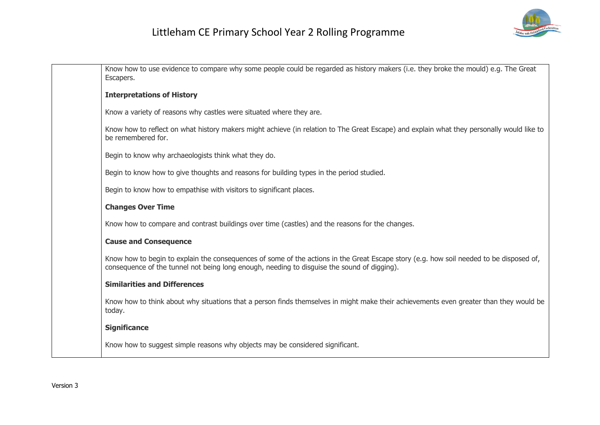

| Know how to use evidence to compare why some people could be regarded as history makers (i.e. they broke the mould) e.g. The Great<br>Escapers.                                                                                        |
|----------------------------------------------------------------------------------------------------------------------------------------------------------------------------------------------------------------------------------------|
| <b>Interpretations of History</b>                                                                                                                                                                                                      |
| Know a variety of reasons why castles were situated where they are.                                                                                                                                                                    |
| Know how to reflect on what history makers might achieve (in relation to The Great Escape) and explain what they personally would like to<br>be remembered for.                                                                        |
| Begin to know why archaeologists think what they do.                                                                                                                                                                                   |
| Begin to know how to give thoughts and reasons for building types in the period studied.                                                                                                                                               |
| Begin to know how to empathise with visitors to significant places.                                                                                                                                                                    |
| <b>Changes Over Time</b>                                                                                                                                                                                                               |
| Know how to compare and contrast buildings over time (castles) and the reasons for the changes.                                                                                                                                        |
| <b>Cause and Consequence</b>                                                                                                                                                                                                           |
| Know how to begin to explain the consequences of some of the actions in the Great Escape story (e.g. how soil needed to be disposed of,<br>consequence of the tunnel not being long enough, needing to disquise the sound of digging). |
| <b>Similarities and Differences</b>                                                                                                                                                                                                    |
| Know how to think about why situations that a person finds themselves in might make their achievements even greater than they would be<br>today.                                                                                       |
| <b>Significance</b>                                                                                                                                                                                                                    |
| Know how to suggest simple reasons why objects may be considered significant.                                                                                                                                                          |
|                                                                                                                                                                                                                                        |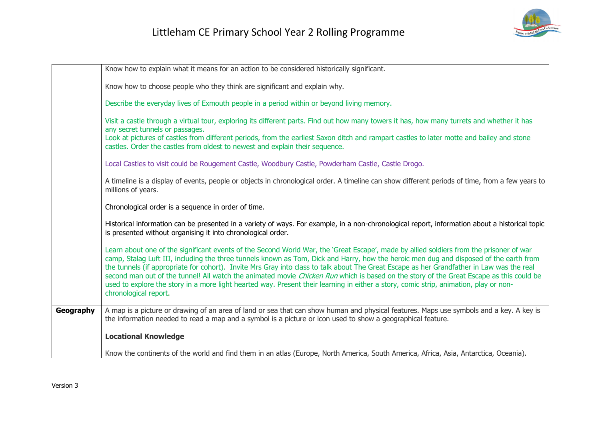

|           | Know how to explain what it means for an action to be considered historically significant.                                                                                                                                                                                                                                                                                                                                                                                                                                                                                                                                                                                                                                                  |
|-----------|---------------------------------------------------------------------------------------------------------------------------------------------------------------------------------------------------------------------------------------------------------------------------------------------------------------------------------------------------------------------------------------------------------------------------------------------------------------------------------------------------------------------------------------------------------------------------------------------------------------------------------------------------------------------------------------------------------------------------------------------|
|           | Know how to choose people who they think are significant and explain why.                                                                                                                                                                                                                                                                                                                                                                                                                                                                                                                                                                                                                                                                   |
|           | Describe the everyday lives of Exmouth people in a period within or beyond living memory.                                                                                                                                                                                                                                                                                                                                                                                                                                                                                                                                                                                                                                                   |
|           | Visit a castle through a virtual tour, exploring its different parts. Find out how many towers it has, how many turrets and whether it has<br>any secret tunnels or passages.                                                                                                                                                                                                                                                                                                                                                                                                                                                                                                                                                               |
|           | Look at pictures of castles from different periods, from the earliest Saxon ditch and rampart castles to later motte and bailey and stone<br>castles. Order the castles from oldest to newest and explain their sequence.                                                                                                                                                                                                                                                                                                                                                                                                                                                                                                                   |
|           | Local Castles to visit could be Rougement Castle, Woodbury Castle, Powderham Castle, Castle Drogo.                                                                                                                                                                                                                                                                                                                                                                                                                                                                                                                                                                                                                                          |
|           | A timeline is a display of events, people or objects in chronological order. A timeline can show different periods of time, from a few years to<br>millions of years.                                                                                                                                                                                                                                                                                                                                                                                                                                                                                                                                                                       |
|           | Chronological order is a sequence in order of time.                                                                                                                                                                                                                                                                                                                                                                                                                                                                                                                                                                                                                                                                                         |
|           | Historical information can be presented in a variety of ways. For example, in a non-chronological report, information about a historical topic<br>is presented without organising it into chronological order.                                                                                                                                                                                                                                                                                                                                                                                                                                                                                                                              |
|           | Learn about one of the significant events of the Second World War, the 'Great Escape', made by allied soldiers from the prisoner of war<br>camp, Stalag Luft III, including the three tunnels known as Tom, Dick and Harry, how the heroic men dug and disposed of the earth from<br>the tunnels (if appropriate for cohort). Invite Mrs Gray into class to talk about The Great Escape as her Grandfather in Law was the real<br>second man out of the tunnel! All watch the animated movie Chicken Run which is based on the story of the Great Escape as this could be<br>used to explore the story in a more light hearted way. Present their learning in either a story, comic strip, animation, play or non-<br>chronological report. |
| Geography | A map is a picture or drawing of an area of land or sea that can show human and physical features. Maps use symbols and a key. A key is<br>the information needed to read a map and a symbol is a picture or icon used to show a geographical feature.                                                                                                                                                                                                                                                                                                                                                                                                                                                                                      |
|           | <b>Locational Knowledge</b>                                                                                                                                                                                                                                                                                                                                                                                                                                                                                                                                                                                                                                                                                                                 |
|           | Know the continents of the world and find them in an atlas (Europe, North America, South America, Africa, Asia, Antarctica, Oceania).                                                                                                                                                                                                                                                                                                                                                                                                                                                                                                                                                                                                       |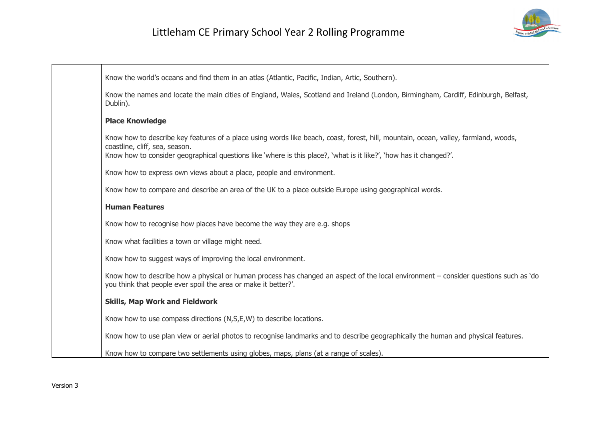

| Know the world's oceans and find them in an atlas (Atlantic, Pacific, Indian, Artic, Southern).                                                                                                                                                                                             |
|---------------------------------------------------------------------------------------------------------------------------------------------------------------------------------------------------------------------------------------------------------------------------------------------|
| Know the names and locate the main cities of England, Wales, Scotland and Ireland (London, Birmingham, Cardiff, Edinburgh, Belfast,<br>Dublin).                                                                                                                                             |
| <b>Place Knowledge</b>                                                                                                                                                                                                                                                                      |
| Know how to describe key features of a place using words like beach, coast, forest, hill, mountain, ocean, valley, farmland, woods,<br>coastline, cliff, sea, season.<br>Know how to consider geographical questions like 'where is this place?, 'what is it like?', 'how has it changed?'. |
| Know how to express own views about a place, people and environment.                                                                                                                                                                                                                        |
| Know how to compare and describe an area of the UK to a place outside Europe using geographical words.                                                                                                                                                                                      |
| <b>Human Features</b>                                                                                                                                                                                                                                                                       |
| Know how to recognise how places have become the way they are e.g. shops                                                                                                                                                                                                                    |
| Know what facilities a town or village might need.                                                                                                                                                                                                                                          |
| Know how to suggest ways of improving the local environment.                                                                                                                                                                                                                                |
| Know how to describe how a physical or human process has changed an aspect of the local environment – consider questions such as 'do<br>you think that people ever spoil the area or make it better?'.                                                                                      |
| <b>Skills, Map Work and Fieldwork</b>                                                                                                                                                                                                                                                       |
| Know how to use compass directions (N,S,E,W) to describe locations.                                                                                                                                                                                                                         |
| Know how to use plan view or aerial photos to recognise landmarks and to describe geographically the human and physical features.                                                                                                                                                           |
| Know how to compare two settlements using globes, maps, plans (at a range of scales).                                                                                                                                                                                                       |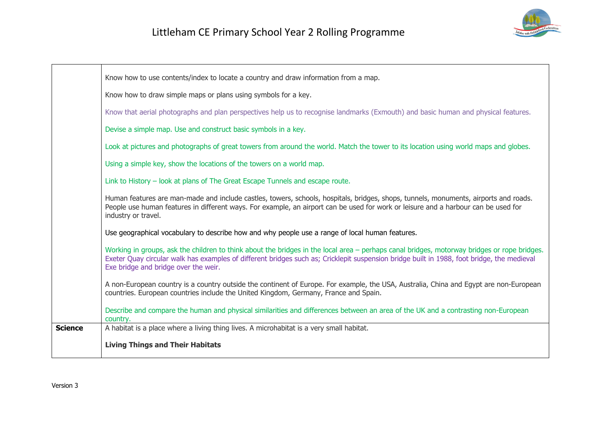

|                | Know how to use contents/index to locate a country and draw information from a map.                                                                                                                                                                                                                                               |
|----------------|-----------------------------------------------------------------------------------------------------------------------------------------------------------------------------------------------------------------------------------------------------------------------------------------------------------------------------------|
|                | Know how to draw simple maps or plans using symbols for a key.                                                                                                                                                                                                                                                                    |
|                | Know that aerial photographs and plan perspectives help us to recognise landmarks (Exmouth) and basic human and physical features.                                                                                                                                                                                                |
|                | Devise a simple map. Use and construct basic symbols in a key.                                                                                                                                                                                                                                                                    |
|                | Look at pictures and photographs of great towers from around the world. Match the tower to its location using world maps and globes.                                                                                                                                                                                              |
|                | Using a simple key, show the locations of the towers on a world map.                                                                                                                                                                                                                                                              |
|                | Link to History - look at plans of The Great Escape Tunnels and escape route.                                                                                                                                                                                                                                                     |
|                | Human features are man-made and include castles, towers, schools, hospitals, bridges, shops, tunnels, monuments, airports and roads.<br>People use human features in different ways. For example, an airport can be used for work or leisure and a harbour can be used for<br>industry or travel.                                 |
|                | Use geographical vocabulary to describe how and why people use a range of local human features.                                                                                                                                                                                                                                   |
|                | Working in groups, ask the children to think about the bridges in the local area – perhaps canal bridges, motorway bridges or rope bridges.<br>Exeter Quay circular walk has examples of different bridges such as; Cricklepit suspension bridge built in 1988, foot bridge, the medieval<br>Exe bridge and bridge over the weir. |
|                | A non-European country is a country outside the continent of Europe. For example, the USA, Australia, China and Egypt are non-European<br>countries. European countries include the United Kingdom, Germany, France and Spain.                                                                                                    |
|                | Describe and compare the human and physical similarities and differences between an area of the UK and a contrasting non-European<br>country.                                                                                                                                                                                     |
| <b>Science</b> | A habitat is a place where a living thing lives. A microhabitat is a very small habitat.                                                                                                                                                                                                                                          |
|                | <b>Living Things and Their Habitats</b>                                                                                                                                                                                                                                                                                           |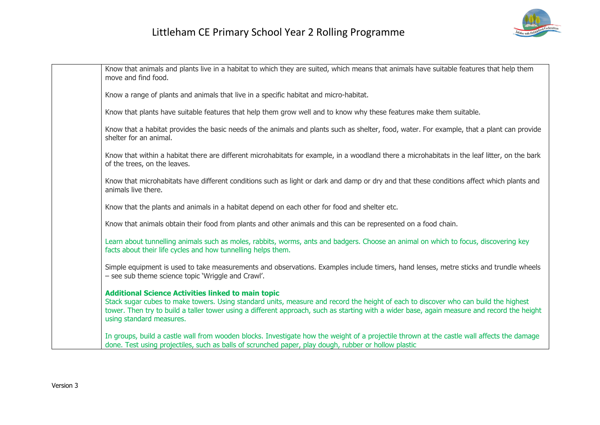

| Know that animals and plants live in a habitat to which they are suited, which means that animals have suitable features that help them<br>move and find food.                                                                                                                                                                                                              |
|-----------------------------------------------------------------------------------------------------------------------------------------------------------------------------------------------------------------------------------------------------------------------------------------------------------------------------------------------------------------------------|
| Know a range of plants and animals that live in a specific habitat and micro-habitat.                                                                                                                                                                                                                                                                                       |
| Know that plants have suitable features that help them grow well and to know why these features make them suitable.                                                                                                                                                                                                                                                         |
| Know that a habitat provides the basic needs of the animals and plants such as shelter, food, water. For example, that a plant can provide<br>shelter for an animal.                                                                                                                                                                                                        |
| Know that within a habitat there are different microhabitats for example, in a woodland there a microhabitats in the leaf litter, on the bark<br>of the trees, on the leaves.                                                                                                                                                                                               |
| Know that microhabitats have different conditions such as light or dark and damp or dry and that these conditions affect which plants and<br>animals live there.                                                                                                                                                                                                            |
| Know that the plants and animals in a habitat depend on each other for food and shelter etc.                                                                                                                                                                                                                                                                                |
| Know that animals obtain their food from plants and other animals and this can be represented on a food chain.                                                                                                                                                                                                                                                              |
| Learn about tunnelling animals such as moles, rabbits, worms, ants and badgers. Choose an animal on which to focus, discovering key<br>facts about their life cycles and how tunnelling helps them.                                                                                                                                                                         |
| Simple equipment is used to take measurements and observations. Examples include timers, hand lenses, metre sticks and trundle wheels<br>- see sub theme science topic 'Wriggle and Crawl'.                                                                                                                                                                                 |
| <b>Additional Science Activities linked to main topic</b><br>Stack sugar cubes to make towers. Using standard units, measure and record the height of each to discover who can build the highest<br>tower. Then try to build a taller tower using a different approach, such as starting with a wider base, again measure and record the height<br>using standard measures. |
| In groups, build a castle wall from wooden blocks. Investigate how the weight of a projectile thrown at the castle wall affects the damage<br>done. Test using projectiles, such as balls of scrunched paper, play dough, rubber or hollow plastic                                                                                                                          |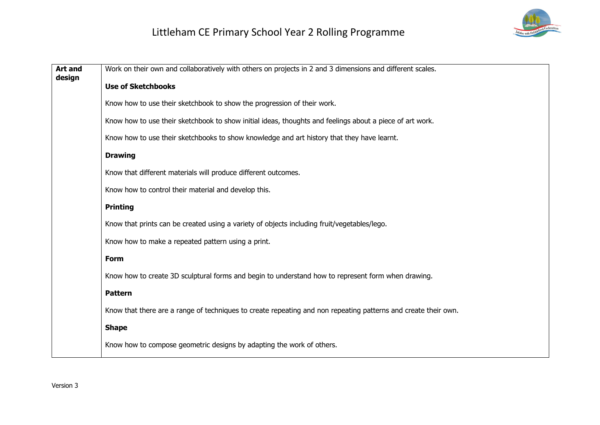

| <b>Art and</b><br>design | Work on their own and collaboratively with others on projects in 2 and 3 dimensions and different scales.      |
|--------------------------|----------------------------------------------------------------------------------------------------------------|
|                          | <b>Use of Sketchbooks</b>                                                                                      |
|                          | Know how to use their sketchbook to show the progression of their work.                                        |
|                          | Know how to use their sketchbook to show initial ideas, thoughts and feelings about a piece of art work.       |
|                          | Know how to use their sketchbooks to show knowledge and art history that they have learnt.                     |
|                          | <b>Drawing</b>                                                                                                 |
|                          | Know that different materials will produce different outcomes.                                                 |
|                          | Know how to control their material and develop this.                                                           |
|                          | <b>Printing</b>                                                                                                |
|                          | Know that prints can be created using a variety of objects including fruit/vegetables/lego.                    |
|                          | Know how to make a repeated pattern using a print.                                                             |
|                          | <b>Form</b>                                                                                                    |
|                          | Know how to create 3D sculptural forms and begin to understand how to represent form when drawing.             |
|                          | <b>Pattern</b>                                                                                                 |
|                          | Know that there are a range of techniques to create repeating and non repeating patterns and create their own. |
|                          | <b>Shape</b>                                                                                                   |
|                          | Know how to compose geometric designs by adapting the work of others.                                          |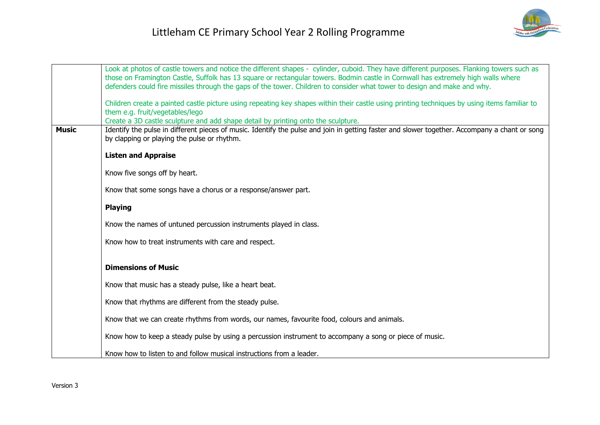

|              | Look at photos of castle towers and notice the different shapes - cylinder, cuboid. They have different purposes. Flanking towers such as                                                                                                                     |
|--------------|---------------------------------------------------------------------------------------------------------------------------------------------------------------------------------------------------------------------------------------------------------------|
|              | those on Framington Castle, Suffolk has 13 square or rectangular towers. Bodmin castle in Cornwall has extremely high walls where<br>defenders could fire missiles through the gaps of the tower. Children to consider what tower to design and make and why. |
|              |                                                                                                                                                                                                                                                               |
|              | Children create a painted castle picture using repeating key shapes within their castle using printing techniques by using items familiar to<br>them e.g. fruit/vegetables/lego                                                                               |
|              | Create a 3D castle sculpture and add shape detail by printing onto the sculpture.                                                                                                                                                                             |
| <b>Music</b> | Identify the pulse in different pieces of music. Identify the pulse and join in getting faster and slower together. Accompany a chant or song<br>by clapping or playing the pulse or rhythm.                                                                  |
|              |                                                                                                                                                                                                                                                               |
|              | <b>Listen and Appraise</b>                                                                                                                                                                                                                                    |
|              | Know five songs off by heart.                                                                                                                                                                                                                                 |
|              | Know that some songs have a chorus or a response/answer part.                                                                                                                                                                                                 |
|              | <b>Playing</b>                                                                                                                                                                                                                                                |
|              | Know the names of untuned percussion instruments played in class.                                                                                                                                                                                             |
|              | Know how to treat instruments with care and respect.                                                                                                                                                                                                          |
|              |                                                                                                                                                                                                                                                               |
|              | <b>Dimensions of Music</b>                                                                                                                                                                                                                                    |
|              | Know that music has a steady pulse, like a heart beat.                                                                                                                                                                                                        |
|              | Know that rhythms are different from the steady pulse.                                                                                                                                                                                                        |
|              | Know that we can create rhythms from words, our names, favourite food, colours and animals.                                                                                                                                                                   |
|              | Know how to keep a steady pulse by using a percussion instrument to accompany a song or piece of music.                                                                                                                                                       |
|              | Know how to listen to and follow musical instructions from a leader.                                                                                                                                                                                          |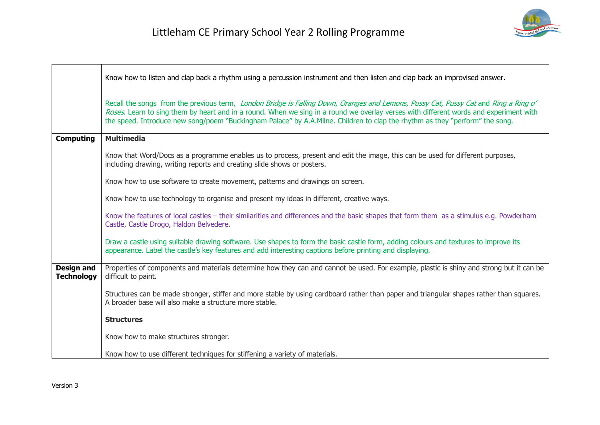

|                                        | Know how to listen and clap back a rhythm using a percussion instrument and then listen and clap back an improvised answer.                                                                                                                                                                                                                                                                                  |
|----------------------------------------|--------------------------------------------------------------------------------------------------------------------------------------------------------------------------------------------------------------------------------------------------------------------------------------------------------------------------------------------------------------------------------------------------------------|
|                                        | Recall the songs from the previous term, London Bridge is Falling Down, Oranges and Lemons, Pussy Cat, Pussy Cat and Ring a Ring o'<br>Roses. Learn to sing them by heart and in a round. When we sing in a round we overlay verses with different words and experiment with<br>the speed. Introduce new song/poem "Buckingham Palace" by A.A.Milne. Children to clap the rhythm as they "perform" the song. |
| <b>Computing</b>                       | <b>Multimedia</b>                                                                                                                                                                                                                                                                                                                                                                                            |
|                                        | Know that Word/Docs as a programme enables us to process, present and edit the image, this can be used for different purposes,<br>including drawing, writing reports and creating slide shows or posters.                                                                                                                                                                                                    |
|                                        | Know how to use software to create movement, patterns and drawings on screen.                                                                                                                                                                                                                                                                                                                                |
|                                        | Know how to use technology to organise and present my ideas in different, creative ways.                                                                                                                                                                                                                                                                                                                     |
|                                        | Know the features of local castles - their similarities and differences and the basic shapes that form them as a stimulus e.g. Powderham<br>Castle, Castle Drogo, Haldon Belvedere.                                                                                                                                                                                                                          |
|                                        | Draw a castle using suitable drawing software. Use shapes to form the basic castle form, adding colours and textures to improve its<br>appearance. Label the castle's key features and add interesting captions before printing and displaying.                                                                                                                                                              |
| <b>Design and</b><br><b>Technology</b> | Properties of components and materials determine how they can and cannot be used. For example, plastic is shiny and strong but it can be<br>difficult to paint.                                                                                                                                                                                                                                              |
|                                        | Structures can be made stronger, stiffer and more stable by using cardboard rather than paper and triangular shapes rather than squares.<br>A broader base will also make a structure more stable.                                                                                                                                                                                                           |
|                                        | <b>Structures</b>                                                                                                                                                                                                                                                                                                                                                                                            |
|                                        | Know how to make structures stronger.                                                                                                                                                                                                                                                                                                                                                                        |
|                                        | Know how to use different techniques for stiffening a variety of materials.                                                                                                                                                                                                                                                                                                                                  |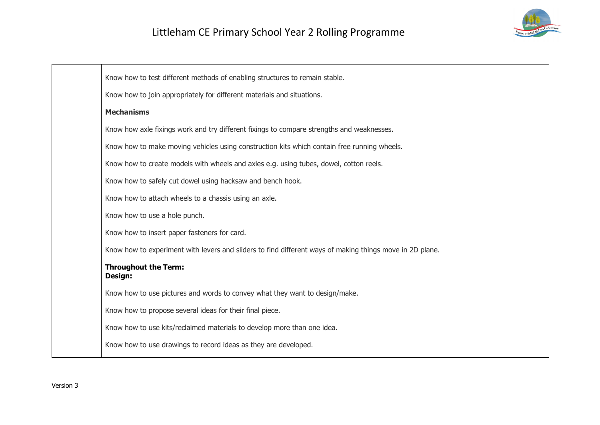

Know how to test different methods of enabling structures to remain stable. Know how to join appropriately for different materials and situations. **Mechanisms** Know how axle fixings work and try different fixings to compare strengths and weaknesses. Know how to make moving vehicles using construction kits which contain free running wheels. Know how to create models with wheels and axles e.g. using tubes, dowel, cotton reels. Know how to safely cut dowel using hacksaw and bench hook. Know how to attach wheels to a chassis using an axle. Know how to use a hole punch. Know how to insert paper fasteners for card. Know how to experiment with levers and sliders to find different ways of making things move in 2D plane. **Throughout the Term: Design:** Know how to use pictures and words to convey what they want to design/make. Know how to propose several ideas for their final piece. Know how to use kits/reclaimed materials to develop more than one idea. Know how to use drawings to record ideas as they are developed.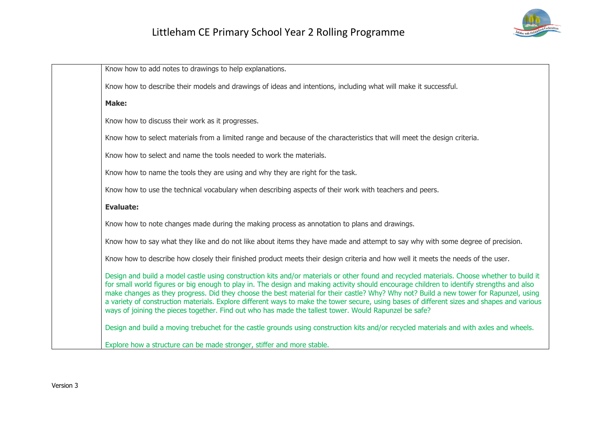

| Know how to add notes to drawings to help explanations.                                                                                                                                                                                                                                                                                                                                                                                                                                                                                                                                                                                                                                   |
|-------------------------------------------------------------------------------------------------------------------------------------------------------------------------------------------------------------------------------------------------------------------------------------------------------------------------------------------------------------------------------------------------------------------------------------------------------------------------------------------------------------------------------------------------------------------------------------------------------------------------------------------------------------------------------------------|
| Know how to describe their models and drawings of ideas and intentions, including what will make it successful.                                                                                                                                                                                                                                                                                                                                                                                                                                                                                                                                                                           |
| Make:                                                                                                                                                                                                                                                                                                                                                                                                                                                                                                                                                                                                                                                                                     |
| Know how to discuss their work as it progresses.                                                                                                                                                                                                                                                                                                                                                                                                                                                                                                                                                                                                                                          |
| Know how to select materials from a limited range and because of the characteristics that will meet the design criteria.                                                                                                                                                                                                                                                                                                                                                                                                                                                                                                                                                                  |
| Know how to select and name the tools needed to work the materials.                                                                                                                                                                                                                                                                                                                                                                                                                                                                                                                                                                                                                       |
| Know how to name the tools they are using and why they are right for the task.                                                                                                                                                                                                                                                                                                                                                                                                                                                                                                                                                                                                            |
| Know how to use the technical vocabulary when describing aspects of their work with teachers and peers.                                                                                                                                                                                                                                                                                                                                                                                                                                                                                                                                                                                   |
| <b>Evaluate:</b>                                                                                                                                                                                                                                                                                                                                                                                                                                                                                                                                                                                                                                                                          |
| Know how to note changes made during the making process as annotation to plans and drawings.                                                                                                                                                                                                                                                                                                                                                                                                                                                                                                                                                                                              |
| Know how to say what they like and do not like about items they have made and attempt to say why with some degree of precision.                                                                                                                                                                                                                                                                                                                                                                                                                                                                                                                                                           |
| Know how to describe how closely their finished product meets their design criteria and how well it meets the needs of the user.                                                                                                                                                                                                                                                                                                                                                                                                                                                                                                                                                          |
| Design and build a model castle using construction kits and/or materials or other found and recycled materials. Choose whether to build it<br>for small world figures or big enough to play in. The design and making activity should encourage children to identify strengths and also<br>make changes as they progress. Did they choose the best material for their castle? Why? Why not? Build a new tower for Rapunzel, using<br>a variety of construction materials. Explore different ways to make the tower secure, using bases of different sizes and shapes and various<br>ways of joining the pieces together. Find out who has made the tallest tower. Would Rapunzel be safe? |
| Design and build a moving trebuchet for the castle grounds using construction kits and/or recycled materials and with axles and wheels.                                                                                                                                                                                                                                                                                                                                                                                                                                                                                                                                                   |
| Explore how a structure can be made stronger, stiffer and more stable.                                                                                                                                                                                                                                                                                                                                                                                                                                                                                                                                                                                                                    |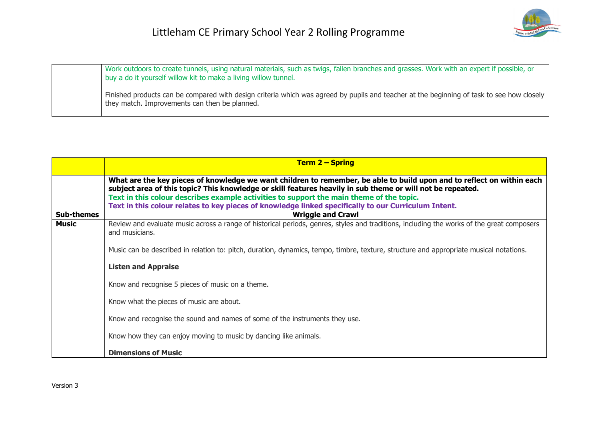

Work outdoors to create tunnels, using natural materials, such as twigs, fallen branches and grasses. Work with an expert if possible, or buy a do it yourself willow kit to make a living willow tunnel. Finished products can be compared with design criteria which was agreed by pupils and teacher at the beginning of task to see how closely they match. Improvements can then be planned.

|                   | <b>Term 2 – Spring</b>                                                                                                                                                                                                                                                                                                                                                                                                                   |
|-------------------|------------------------------------------------------------------------------------------------------------------------------------------------------------------------------------------------------------------------------------------------------------------------------------------------------------------------------------------------------------------------------------------------------------------------------------------|
|                   | What are the key pieces of knowledge we want children to remember, be able to build upon and to reflect on within each<br>subject area of this topic? This knowledge or skill features heavily in sub theme or will not be repeated.<br>Text in this colour describes example activities to support the main theme of the topic.<br>Text in this colour relates to key pieces of knowledge linked specifically to our Curriculum Intent. |
| <b>Sub-themes</b> | <b>Wriggle and Crawl</b>                                                                                                                                                                                                                                                                                                                                                                                                                 |
| <b>Music</b>      | Review and evaluate music across a range of historical periods, genres, styles and traditions, including the works of the great composers<br>and musicians.                                                                                                                                                                                                                                                                              |
|                   | Music can be described in relation to: pitch, duration, dynamics, tempo, timbre, texture, structure and appropriate musical notations.                                                                                                                                                                                                                                                                                                   |
|                   | <b>Listen and Appraise</b>                                                                                                                                                                                                                                                                                                                                                                                                               |
|                   | Know and recognise 5 pieces of music on a theme.                                                                                                                                                                                                                                                                                                                                                                                         |
|                   | Know what the pieces of music are about.                                                                                                                                                                                                                                                                                                                                                                                                 |
|                   | Know and recognise the sound and names of some of the instruments they use.                                                                                                                                                                                                                                                                                                                                                              |
|                   | Know how they can enjoy moving to music by dancing like animals.                                                                                                                                                                                                                                                                                                                                                                         |
|                   | <b>Dimensions of Music</b>                                                                                                                                                                                                                                                                                                                                                                                                               |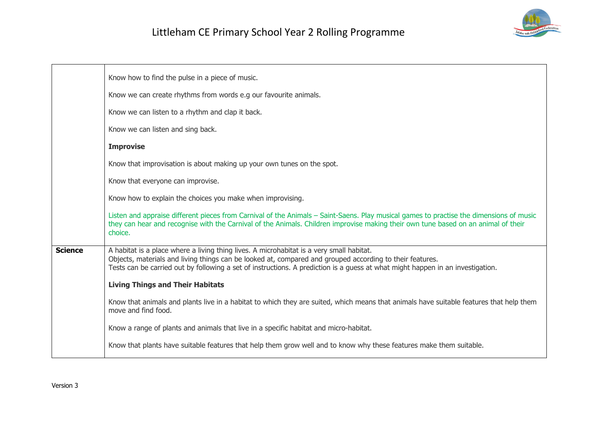

|                | Know how to find the pulse in a piece of music.                                                                                                                                                                                                                                                                                        |
|----------------|----------------------------------------------------------------------------------------------------------------------------------------------------------------------------------------------------------------------------------------------------------------------------------------------------------------------------------------|
|                | Know we can create rhythms from words e.g our favourite animals.                                                                                                                                                                                                                                                                       |
|                | Know we can listen to a rhythm and clap it back.                                                                                                                                                                                                                                                                                       |
|                | Know we can listen and sing back.                                                                                                                                                                                                                                                                                                      |
|                | <b>Improvise</b>                                                                                                                                                                                                                                                                                                                       |
|                | Know that improvisation is about making up your own tunes on the spot.                                                                                                                                                                                                                                                                 |
|                | Know that everyone can improvise.                                                                                                                                                                                                                                                                                                      |
|                | Know how to explain the choices you make when improvising.                                                                                                                                                                                                                                                                             |
|                | Listen and appraise different pieces from Carnival of the Animals – Saint-Saens. Play musical games to practise the dimensions of music<br>they can hear and recognise with the Carnival of the Animals. Children improvise making their own tune based on an animal of their<br>choice.                                               |
| <b>Science</b> | A habitat is a place where a living thing lives. A microhabitat is a very small habitat.<br>Objects, materials and living things can be looked at, compared and grouped according to their features.<br>Tests can be carried out by following a set of instructions. A prediction is a quess at what might happen in an investigation. |
|                | <b>Living Things and Their Habitats</b>                                                                                                                                                                                                                                                                                                |
|                | Know that animals and plants live in a habitat to which they are suited, which means that animals have suitable features that help them<br>move and find food.                                                                                                                                                                         |
|                | Know a range of plants and animals that live in a specific habitat and micro-habitat.                                                                                                                                                                                                                                                  |
|                | Know that plants have suitable features that help them grow well and to know why these features make them suitable.                                                                                                                                                                                                                    |
|                |                                                                                                                                                                                                                                                                                                                                        |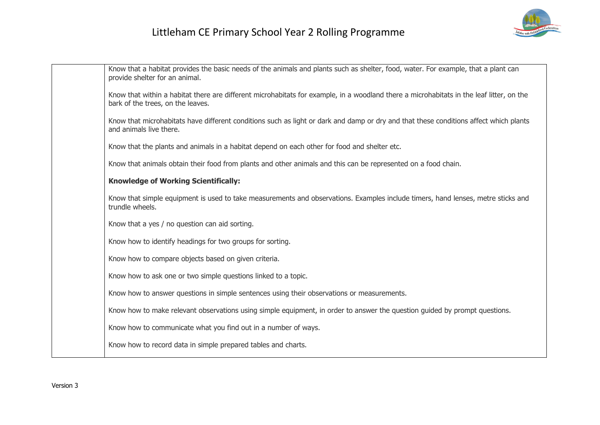

| Know that a habitat provides the basic needs of the animals and plants such as shelter, food, water. For example, that a plant can<br>provide shelter for an animal.          |
|-------------------------------------------------------------------------------------------------------------------------------------------------------------------------------|
| Know that within a habitat there are different microhabitats for example, in a woodland there a microhabitats in the leaf litter, on the<br>bark of the trees, on the leaves. |
| Know that microhabitats have different conditions such as light or dark and damp or dry and that these conditions affect which plants<br>and animals live there.              |
| Know that the plants and animals in a habitat depend on each other for food and shelter etc.                                                                                  |
| Know that animals obtain their food from plants and other animals and this can be represented on a food chain.                                                                |
| <b>Knowledge of Working Scientifically:</b>                                                                                                                                   |
| Know that simple equipment is used to take measurements and observations. Examples include timers, hand lenses, metre sticks and<br>trundle wheels.                           |
| Know that a yes / no question can aid sorting.                                                                                                                                |
| Know how to identify headings for two groups for sorting.                                                                                                                     |
| Know how to compare objects based on given criteria.                                                                                                                          |
| Know how to ask one or two simple questions linked to a topic.                                                                                                                |
| Know how to answer questions in simple sentences using their observations or measurements.                                                                                    |
| Know how to make relevant observations using simple equipment, in order to answer the question guided by prompt questions.                                                    |
| Know how to communicate what you find out in a number of ways.                                                                                                                |
| Know how to record data in simple prepared tables and charts.                                                                                                                 |
|                                                                                                                                                                               |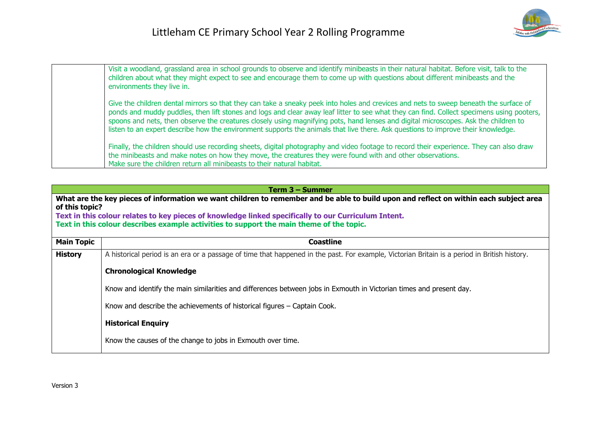

| Visit a woodland, grassland area in school grounds to observe and identify minibeasts in their natural habitat. Before visit, talk to the<br>children about what they might expect to see and encourage them to come up with questions about different minibeasts and the<br>environments they live in.                                                                                                                                                                                                                                                       |
|---------------------------------------------------------------------------------------------------------------------------------------------------------------------------------------------------------------------------------------------------------------------------------------------------------------------------------------------------------------------------------------------------------------------------------------------------------------------------------------------------------------------------------------------------------------|
| Give the children dental mirrors so that they can take a sneaky peek into holes and crevices and nets to sweep beneath the surface of<br>ponds and muddy puddles, then lift stones and logs and clear away leaf litter to see what they can find. Collect specimens using pooters,<br>spoons and nets, then observe the creatures closely using magnifying pots, hand lenses and digital microscopes. Ask the children to<br>listen to an expert describe how the environment supports the animals that live there. Ask questions to improve their knowledge. |
| Finally, the children should use recording sheets, digital photography and video footage to record their experience. They can also draw<br>the minibeasts and make notes on how they move, the creatures they were found with and other observations.<br>Make sure the children return all minibeasts to their natural habitat.                                                                                                                                                                                                                               |

| Term 3 – Summer                                                                                                                                                                                                                                                                                                                                             |                                                                                                                                              |
|-------------------------------------------------------------------------------------------------------------------------------------------------------------------------------------------------------------------------------------------------------------------------------------------------------------------------------------------------------------|----------------------------------------------------------------------------------------------------------------------------------------------|
| What are the key pieces of information we want children to remember and be able to build upon and reflect on within each subject area<br>of this topic?<br>Text in this colour relates to key pieces of knowledge linked specifically to our Curriculum Intent.<br>Text in this colour describes example activities to support the main theme of the topic. |                                                                                                                                              |
| <b>Main Topic</b>                                                                                                                                                                                                                                                                                                                                           | <b>Coastline</b>                                                                                                                             |
| <b>History</b>                                                                                                                                                                                                                                                                                                                                              | A historical period is an era or a passage of time that happened in the past. For example, Victorian Britain is a period in British history. |
|                                                                                                                                                                                                                                                                                                                                                             | <b>Chronological Knowledge</b>                                                                                                               |
|                                                                                                                                                                                                                                                                                                                                                             | Know and identify the main similarities and differences between jobs in Exmouth in Victorian times and present day.                          |
|                                                                                                                                                                                                                                                                                                                                                             | Know and describe the achievements of historical figures – Captain Cook.                                                                     |
|                                                                                                                                                                                                                                                                                                                                                             | <b>Historical Enquiry</b>                                                                                                                    |
|                                                                                                                                                                                                                                                                                                                                                             | Know the causes of the change to jobs in Exmouth over time.                                                                                  |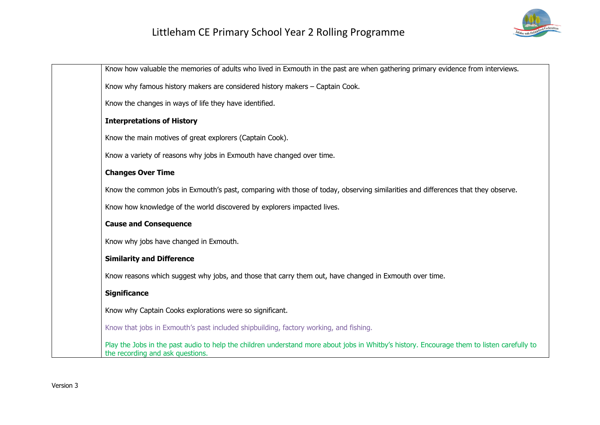

| Know how valuable the memories of adults who lived in Exmouth in the past are when gathering primary evidence from interviews.                                                 |
|--------------------------------------------------------------------------------------------------------------------------------------------------------------------------------|
| Know why famous history makers are considered history makers - Captain Cook.                                                                                                   |
| Know the changes in ways of life they have identified.                                                                                                                         |
| <b>Interpretations of History</b>                                                                                                                                              |
| Know the main motives of great explorers (Captain Cook).                                                                                                                       |
| Know a variety of reasons why jobs in Exmouth have changed over time.                                                                                                          |
| <b>Changes Over Time</b>                                                                                                                                                       |
| Know the common jobs in Exmouth's past, comparing with those of today, observing similarities and differences that they observe.                                               |
| Know how knowledge of the world discovered by explorers impacted lives.                                                                                                        |
| <b>Cause and Consequence</b>                                                                                                                                                   |
| Know why jobs have changed in Exmouth.                                                                                                                                         |
| <b>Similarity and Difference</b>                                                                                                                                               |
| Know reasons which suggest why jobs, and those that carry them out, have changed in Exmouth over time.                                                                         |
| <b>Significance</b>                                                                                                                                                            |
| Know why Captain Cooks explorations were so significant.                                                                                                                       |
| Know that jobs in Exmouth's past included shipbuilding, factory working, and fishing.                                                                                          |
| Play the Jobs in the past audio to help the children understand more about jobs in Whitby's history. Encourage them to listen carefully to<br>the recording and ask questions. |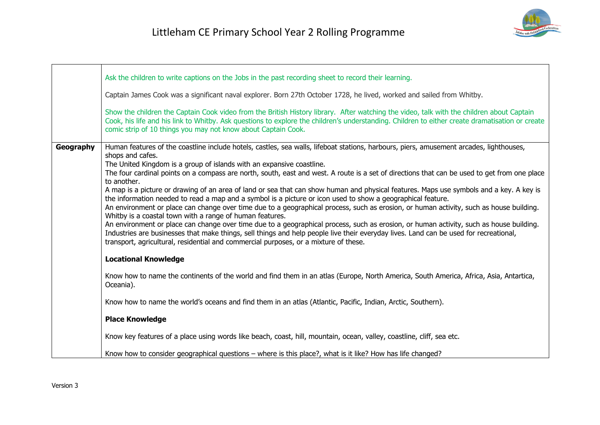|           | Ask the children to write captions on the Jobs in the past recording sheet to record their learning.<br>Captain James Cook was a significant naval explorer. Born 27th October 1728, he lived, worked and sailed from Whitby.<br>Show the children the Captain Cook video from the British History library. After watching the video, talk with the children about Captain<br>Cook, his life and his link to Whitby. Ask questions to explore the children's understanding. Children to either create dramatisation or create<br>comic strip of 10 things you may not know about Captain Cook.                                                                                                                                                                                                                                                                                                                                                                                                                                                                                                                                                                                                                                                   |
|-----------|--------------------------------------------------------------------------------------------------------------------------------------------------------------------------------------------------------------------------------------------------------------------------------------------------------------------------------------------------------------------------------------------------------------------------------------------------------------------------------------------------------------------------------------------------------------------------------------------------------------------------------------------------------------------------------------------------------------------------------------------------------------------------------------------------------------------------------------------------------------------------------------------------------------------------------------------------------------------------------------------------------------------------------------------------------------------------------------------------------------------------------------------------------------------------------------------------------------------------------------------------|
| Geography | Human features of the coastline include hotels, castles, sea walls, lifeboat stations, harbours, piers, amusement arcades, lighthouses,<br>shops and cafes.<br>The United Kingdom is a group of islands with an expansive coastline.<br>The four cardinal points on a compass are north, south, east and west. A route is a set of directions that can be used to get from one place<br>to another.<br>A map is a picture or drawing of an area of land or sea that can show human and physical features. Maps use symbols and a key. A key is<br>the information needed to read a map and a symbol is a picture or icon used to show a geographical feature.<br>An environment or place can change over time due to a geographical process, such as erosion, or human activity, such as house building.<br>Whitby is a coastal town with a range of human features.<br>An environment or place can change over time due to a geographical process, such as erosion, or human activity, such as house building.<br>Industries are businesses that make things, sell things and help people live their everyday lives. Land can be used for recreational,<br>transport, agricultural, residential and commercial purposes, or a mixture of these. |
|           | <b>Locational Knowledge</b>                                                                                                                                                                                                                                                                                                                                                                                                                                                                                                                                                                                                                                                                                                                                                                                                                                                                                                                                                                                                                                                                                                                                                                                                                      |
|           | Know how to name the continents of the world and find them in an atlas (Europe, North America, South America, Africa, Asia, Antartica,<br>Oceania).                                                                                                                                                                                                                                                                                                                                                                                                                                                                                                                                                                                                                                                                                                                                                                                                                                                                                                                                                                                                                                                                                              |
|           | Know how to name the world's oceans and find them in an atlas (Atlantic, Pacific, Indian, Arctic, Southern).                                                                                                                                                                                                                                                                                                                                                                                                                                                                                                                                                                                                                                                                                                                                                                                                                                                                                                                                                                                                                                                                                                                                     |
|           | <b>Place Knowledge</b>                                                                                                                                                                                                                                                                                                                                                                                                                                                                                                                                                                                                                                                                                                                                                                                                                                                                                                                                                                                                                                                                                                                                                                                                                           |
|           | Know key features of a place using words like beach, coast, hill, mountain, ocean, valley, coastline, cliff, sea etc.                                                                                                                                                                                                                                                                                                                                                                                                                                                                                                                                                                                                                                                                                                                                                                                                                                                                                                                                                                                                                                                                                                                            |
|           | Know how to consider geographical questions – where is this place?, what is it like? How has life changed?                                                                                                                                                                                                                                                                                                                                                                                                                                                                                                                                                                                                                                                                                                                                                                                                                                                                                                                                                                                                                                                                                                                                       |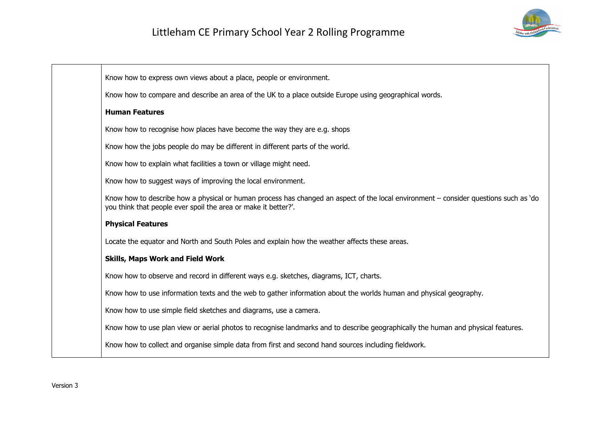

| Know how to express own views about a place, people or environment.                                                                                                                                    |
|--------------------------------------------------------------------------------------------------------------------------------------------------------------------------------------------------------|
| Know how to compare and describe an area of the UK to a place outside Europe using geographical words.                                                                                                 |
| <b>Human Features</b>                                                                                                                                                                                  |
| Know how to recognise how places have become the way they are e.g. shops                                                                                                                               |
| Know how the jobs people do may be different in different parts of the world.                                                                                                                          |
| Know how to explain what facilities a town or village might need.                                                                                                                                      |
| Know how to suggest ways of improving the local environment.                                                                                                                                           |
| Know how to describe how a physical or human process has changed an aspect of the local environment – consider questions such as 'do<br>you think that people ever spoil the area or make it better?'. |
| <b>Physical Features</b>                                                                                                                                                                               |
| Locate the equator and North and South Poles and explain how the weather affects these areas.                                                                                                          |
| <b>Skills, Maps Work and Field Work</b>                                                                                                                                                                |
| Know how to observe and record in different ways e.g. sketches, diagrams, ICT, charts.                                                                                                                 |
| Know how to use information texts and the web to gather information about the worlds human and physical geography.                                                                                     |
| Know how to use simple field sketches and diagrams, use a camera.                                                                                                                                      |
| Know how to use plan view or aerial photos to recognise landmarks and to describe geographically the human and physical features.                                                                      |
| Know how to collect and organise simple data from first and second hand sources including fieldwork.                                                                                                   |
|                                                                                                                                                                                                        |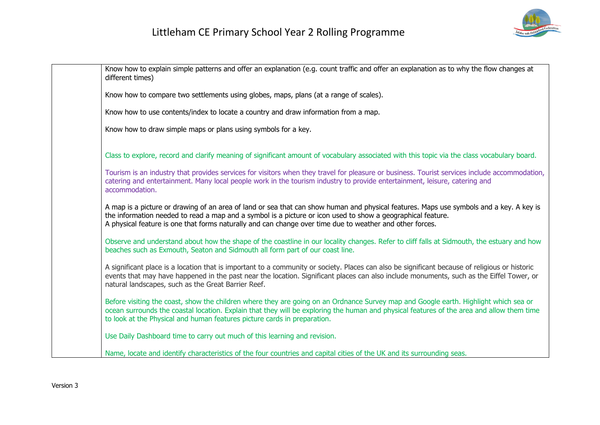

| Know how to explain simple patterns and offer an explanation (e.g. count traffic and offer an explanation as to why the flow changes at<br>different times)                                                                                                                                                                                                        |
|--------------------------------------------------------------------------------------------------------------------------------------------------------------------------------------------------------------------------------------------------------------------------------------------------------------------------------------------------------------------|
| Know how to compare two settlements using globes, maps, plans (at a range of scales).                                                                                                                                                                                                                                                                              |
| Know how to use contents/index to locate a country and draw information from a map.                                                                                                                                                                                                                                                                                |
| Know how to draw simple maps or plans using symbols for a key.                                                                                                                                                                                                                                                                                                     |
| Class to explore, record and clarify meaning of significant amount of vocabulary associated with this topic via the class vocabulary board.                                                                                                                                                                                                                        |
| Tourism is an industry that provides services for visitors when they travel for pleasure or business. Tourist services include accommodation,<br>catering and entertainment. Many local people work in the tourism industry to provide entertainment, leisure, catering and<br>accommodation.                                                                      |
| A map is a picture or drawing of an area of land or sea that can show human and physical features. Maps use symbols and a key. A key is<br>the information needed to read a map and a symbol is a picture or icon used to show a geographical feature.<br>A physical feature is one that forms naturally and can change over time due to weather and other forces. |
| Observe and understand about how the shape of the coastline in our locality changes. Refer to cliff falls at Sidmouth, the estuary and how<br>beaches such as Exmouth, Seaton and Sidmouth all form part of our coast line.                                                                                                                                        |
| A significant place is a location that is important to a community or society. Places can also be significant because of religious or historic<br>events that may have happened in the past near the location. Significant places can also include monuments, such as the Eiffel Tower, or<br>natural landscapes, such as the Great Barrier Reef.                  |
| Before visiting the coast, show the children where they are going on an Ordnance Survey map and Google earth. Highlight which sea or<br>ocean surrounds the coastal location. Explain that they will be exploring the human and physical features of the area and allow them time<br>to look at the Physical and human features picture cards in preparation.      |
| Use Daily Dashboard time to carry out much of this learning and revision.                                                                                                                                                                                                                                                                                          |
| Name, locate and identify characteristics of the four countries and capital cities of the UK and its surrounding seas.                                                                                                                                                                                                                                             |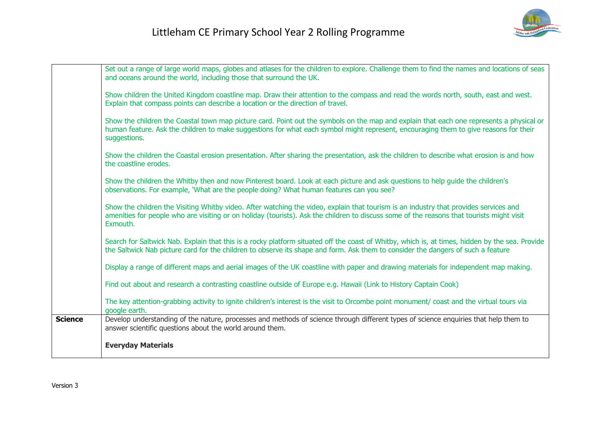|                | Set out a range of large world maps, globes and atlases for the children to explore. Challenge them to find the names and locations of seas<br>and oceans around the world, including those that surround the UK.                                                                                |
|----------------|--------------------------------------------------------------------------------------------------------------------------------------------------------------------------------------------------------------------------------------------------------------------------------------------------|
|                | Show children the United Kingdom coastline map. Draw their attention to the compass and read the words north, south, east and west.<br>Explain that compass points can describe a location or the direction of travel.                                                                           |
|                | Show the children the Coastal town map picture card. Point out the symbols on the map and explain that each one represents a physical or<br>human feature. Ask the children to make suggestions for what each symbol might represent, encouraging them to give reasons for their<br>suggestions. |
|                | Show the children the Coastal erosion presentation. After sharing the presentation, ask the children to describe what erosion is and how<br>the coastline erodes.                                                                                                                                |
|                | Show the children the Whitby then and now Pinterest board. Look at each picture and ask questions to help guide the children's<br>observations. For example, 'What are the people doing? What human features can you see?                                                                        |
|                | Show the children the Visiting Whitby video. After watching the video, explain that tourism is an industry that provides services and<br>amenities for people who are visiting or on holiday (tourists). Ask the children to discuss some of the reasons that tourists might visit<br>Exmouth.   |
|                | Search for Saltwick Nab. Explain that this is a rocky platform situated off the coast of Whitby, which is, at times, hidden by the sea. Provide<br>the Saltwick Nab picture card for the children to observe its shape and form. Ask them to consider the dangers of such a feature              |
|                | Display a range of different maps and aerial images of the UK coastline with paper and drawing materials for independent map making.                                                                                                                                                             |
|                | Find out about and research a contrasting coastline outside of Europe e.g. Hawaii (Link to History Captain Cook)                                                                                                                                                                                 |
|                | The key attention-grabbing activity to ignite children's interest is the visit to Orcombe point monument/ coast and the virtual tours via<br>google earth.                                                                                                                                       |
| <b>Science</b> | Develop understanding of the nature, processes and methods of science through different types of science enquiries that help them to<br>answer scientific questions about the world around them.                                                                                                 |
|                | <b>Everyday Materials</b>                                                                                                                                                                                                                                                                        |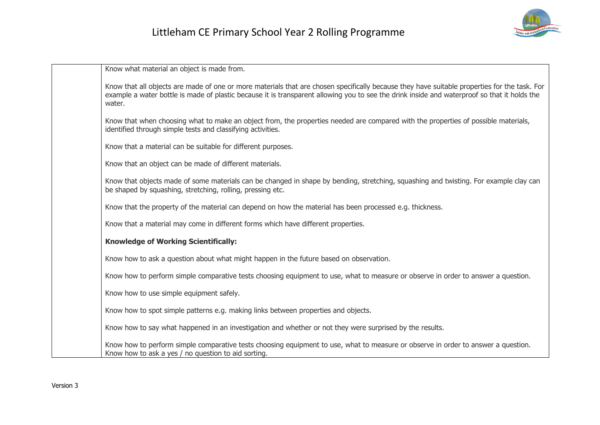

Know what material an object is made from.

Know that all objects are made of one or more materials that are chosen specifically because they have suitable properties for the task. For example a water bottle is made of plastic because it is transparent allowing you to see the drink inside and waterproof so that it holds the water.

Know that when choosing what to make an object from, the properties needed are compared with the properties of possible materials, identified through simple tests and classifying activities.

Know that a material can be suitable for different purposes.

Know that an object can be made of different materials.

Know that objects made of some materials can be changed in shape by bending, stretching, squashing and twisting. For example clay can be shaped by squashing, stretching, rolling, pressing etc.

Know that the property of the material can depend on how the material has been processed e.g. thickness.

Know that a material may come in different forms which have different properties.

#### **Knowledge of Working Scientifically:**

Know how to ask a question about what might happen in the future based on observation.

Know how to perform simple comparative tests choosing equipment to use, what to measure or observe in order to answer a question.

Know how to use simple equipment safely.

Know how to spot simple patterns e.g. making links between properties and objects.

Know how to say what happened in an investigation and whether or not they were surprised by the results.

Know how to perform simple comparative tests choosing equipment to use, what to measure or observe in order to answer a question. Know how to ask a yes / no question to aid sorting.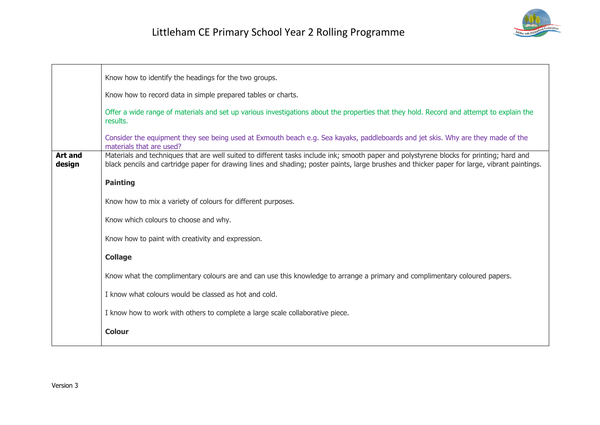

|                          | Know how to identify the headings for the two groups.                                                                                                                                                                                                                                     |
|--------------------------|-------------------------------------------------------------------------------------------------------------------------------------------------------------------------------------------------------------------------------------------------------------------------------------------|
|                          | Know how to record data in simple prepared tables or charts.                                                                                                                                                                                                                              |
|                          | Offer a wide range of materials and set up various investigations about the properties that they hold. Record and attempt to explain the<br>results.                                                                                                                                      |
|                          | Consider the equipment they see being used at Exmouth beach e.g. Sea kayaks, paddleboards and jet skis. Why are they made of the<br>materials that are used?                                                                                                                              |
| <b>Art and</b><br>design | Materials and techniques that are well suited to different tasks include ink; smooth paper and polystyrene blocks for printing; hard and<br>black pencils and cartridge paper for drawing lines and shading; poster paints, large brushes and thicker paper for large, vibrant paintings. |
|                          | <b>Painting</b>                                                                                                                                                                                                                                                                           |
|                          | Know how to mix a variety of colours for different purposes.                                                                                                                                                                                                                              |
|                          | Know which colours to choose and why.                                                                                                                                                                                                                                                     |
|                          | Know how to paint with creativity and expression.                                                                                                                                                                                                                                         |
|                          | <b>Collage</b>                                                                                                                                                                                                                                                                            |
|                          | Know what the complimentary colours are and can use this knowledge to arrange a primary and complimentary coloured papers.                                                                                                                                                                |
|                          | I know what colours would be classed as hot and cold.                                                                                                                                                                                                                                     |
|                          | I know how to work with others to complete a large scale collaborative piece.                                                                                                                                                                                                             |
|                          | <b>Colour</b>                                                                                                                                                                                                                                                                             |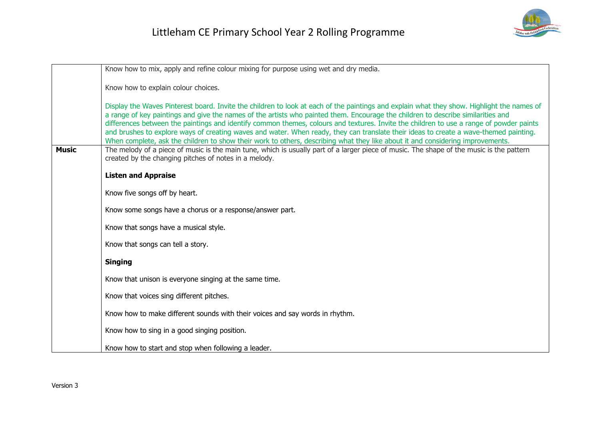

|              | Know how to mix, apply and refine colour mixing for purpose using wet and dry media.                                                                                                                                                                                                                                                                                                                                                                                                                                                                                                                                                                                                                 |
|--------------|------------------------------------------------------------------------------------------------------------------------------------------------------------------------------------------------------------------------------------------------------------------------------------------------------------------------------------------------------------------------------------------------------------------------------------------------------------------------------------------------------------------------------------------------------------------------------------------------------------------------------------------------------------------------------------------------------|
|              | Know how to explain colour choices.                                                                                                                                                                                                                                                                                                                                                                                                                                                                                                                                                                                                                                                                  |
|              | Display the Waves Pinterest board. Invite the children to look at each of the paintings and explain what they show. Highlight the names of<br>a range of key paintings and give the names of the artists who painted them. Encourage the children to describe similarities and<br>differences between the paintings and identify common themes, colours and textures. Invite the children to use a range of powder paints<br>and brushes to explore ways of creating waves and water. When ready, they can translate their ideas to create a wave-themed painting.<br>When complete, ask the children to show their work to others, describing what they like about it and considering improvements. |
| <b>Music</b> | The melody of a piece of music is the main tune, which is usually part of a larger piece of music. The shape of the music is the pattern<br>created by the changing pitches of notes in a melody.                                                                                                                                                                                                                                                                                                                                                                                                                                                                                                    |
|              | <b>Listen and Appraise</b>                                                                                                                                                                                                                                                                                                                                                                                                                                                                                                                                                                                                                                                                           |
|              | Know five songs off by heart.                                                                                                                                                                                                                                                                                                                                                                                                                                                                                                                                                                                                                                                                        |
|              | Know some songs have a chorus or a response/answer part.                                                                                                                                                                                                                                                                                                                                                                                                                                                                                                                                                                                                                                             |
|              | Know that songs have a musical style.                                                                                                                                                                                                                                                                                                                                                                                                                                                                                                                                                                                                                                                                |
|              | Know that songs can tell a story.                                                                                                                                                                                                                                                                                                                                                                                                                                                                                                                                                                                                                                                                    |
|              | <b>Singing</b>                                                                                                                                                                                                                                                                                                                                                                                                                                                                                                                                                                                                                                                                                       |
|              | Know that unison is everyone singing at the same time.                                                                                                                                                                                                                                                                                                                                                                                                                                                                                                                                                                                                                                               |
|              | Know that voices sing different pitches.                                                                                                                                                                                                                                                                                                                                                                                                                                                                                                                                                                                                                                                             |
|              | Know how to make different sounds with their voices and say words in rhythm.                                                                                                                                                                                                                                                                                                                                                                                                                                                                                                                                                                                                                         |
|              | Know how to sing in a good singing position.                                                                                                                                                                                                                                                                                                                                                                                                                                                                                                                                                                                                                                                         |
|              | Know how to start and stop when following a leader.                                                                                                                                                                                                                                                                                                                                                                                                                                                                                                                                                                                                                                                  |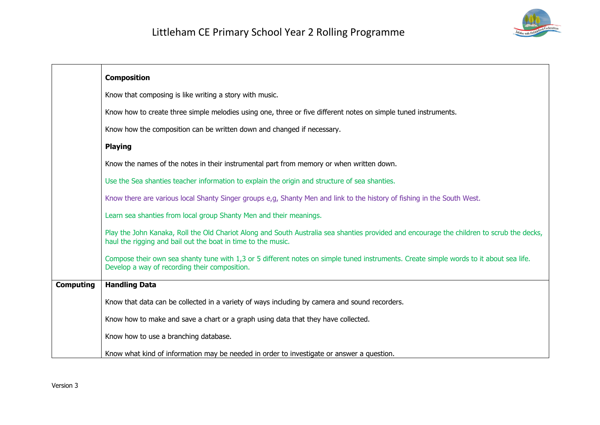

|                  | <b>Composition</b>                                                                                                                                                                                        |
|------------------|-----------------------------------------------------------------------------------------------------------------------------------------------------------------------------------------------------------|
|                  | Know that composing is like writing a story with music.                                                                                                                                                   |
|                  | Know how to create three simple melodies using one, three or five different notes on simple tuned instruments.                                                                                            |
|                  | Know how the composition can be written down and changed if necessary.                                                                                                                                    |
|                  | <b>Playing</b>                                                                                                                                                                                            |
|                  | Know the names of the notes in their instrumental part from memory or when written down.                                                                                                                  |
|                  | Use the Sea shanties teacher information to explain the origin and structure of sea shanties.                                                                                                             |
|                  | Know there are various local Shanty Singer groups e,g, Shanty Men and link to the history of fishing in the South West.                                                                                   |
|                  | Learn sea shanties from local group Shanty Men and their meanings.                                                                                                                                        |
|                  | Play the John Kanaka, Roll the Old Chariot Along and South Australia sea shanties provided and encourage the children to scrub the decks,<br>haul the rigging and bail out the boat in time to the music. |
|                  | Compose their own sea shanty tune with 1,3 or 5 different notes on simple tuned instruments. Create simple words to it about sea life.<br>Develop a way of recording their composition.                   |
| <b>Computing</b> | <b>Handling Data</b>                                                                                                                                                                                      |
|                  | Know that data can be collected in a variety of ways including by camera and sound recorders.                                                                                                             |
|                  | Know how to make and save a chart or a graph using data that they have collected.                                                                                                                         |
|                  | Know how to use a branching database.                                                                                                                                                                     |
|                  | Know what kind of information may be needed in order to investigate or answer a question.                                                                                                                 |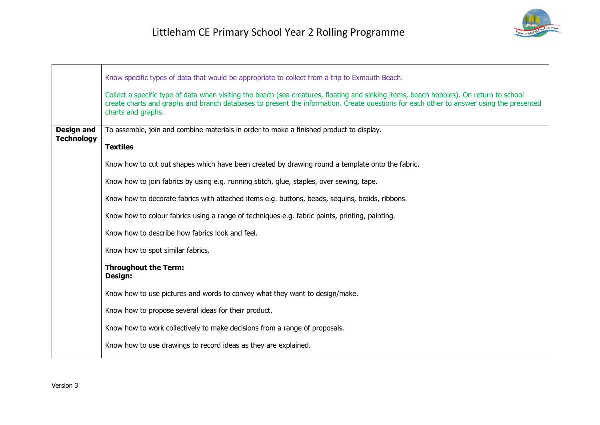

|                                        | Know specific types of data that would be appropriate to collect from a trip to Exmouth Beach.                                                                                                                                                                                                           |
|----------------------------------------|----------------------------------------------------------------------------------------------------------------------------------------------------------------------------------------------------------------------------------------------------------------------------------------------------------|
|                                        | Collect a specific type of data when visiting the beach (sea creatures, floating and sinking items, beach hobbies). On return to school<br>create charts and graphs and branch databases to present the information. Create questions for each other to answer using the presented<br>charts and graphs. |
| <b>Design and</b><br><b>Technology</b> | To assemble, join and combine materials in order to make a finished product to display.                                                                                                                                                                                                                  |
|                                        | <b>Textiles</b>                                                                                                                                                                                                                                                                                          |
|                                        | Know how to cut out shapes which have been created by drawing round a template onto the fabric.                                                                                                                                                                                                          |
|                                        | Know how to join fabrics by using e.g. running stitch, glue, staples, over sewing, tape.                                                                                                                                                                                                                 |
|                                        | Know how to decorate fabrics with attached items e.g. buttons, beads, sequins, braids, ribbons.                                                                                                                                                                                                          |
|                                        | Know how to colour fabrics using a range of techniques e.g. fabric paints, printing, painting.                                                                                                                                                                                                           |
|                                        | Know how to describe how fabrics look and feel.                                                                                                                                                                                                                                                          |
|                                        | Know how to spot similar fabrics.                                                                                                                                                                                                                                                                        |
|                                        | <b>Throughout the Term:</b><br>Design:                                                                                                                                                                                                                                                                   |
|                                        | Know how to use pictures and words to convey what they want to design/make.                                                                                                                                                                                                                              |
|                                        | Know how to propose several ideas for their product.                                                                                                                                                                                                                                                     |
|                                        | Know how to work collectively to make decisions from a range of proposals.                                                                                                                                                                                                                               |
|                                        | Know how to use drawings to record ideas as they are explained.                                                                                                                                                                                                                                          |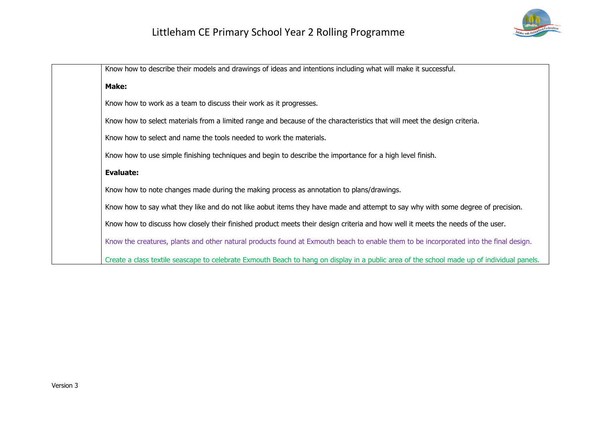

| Know how to describe their models and drawings of ideas and intentions including what will make it successful.                             |
|--------------------------------------------------------------------------------------------------------------------------------------------|
| Make:                                                                                                                                      |
| Know how to work as a team to discuss their work as it progresses.                                                                         |
| Know how to select materials from a limited range and because of the characteristics that will meet the design criteria.                   |
| Know how to select and name the tools needed to work the materials.                                                                        |
| Know how to use simple finishing techniques and begin to describe the importance for a high level finish.                                  |
| <b>Evaluate:</b>                                                                                                                           |
| Know how to note changes made during the making process as annotation to plans/drawings.                                                   |
| Know how to say what they like and do not like aobut items they have made and attempt to say why with some degree of precision.            |
| Know how to discuss how closely their finished product meets their design criteria and how well it meets the needs of the user.            |
| Know the creatures, plants and other natural products found at Exmouth beach to enable them to be incorporated into the final design.      |
| Create a class textile seascape to celebrate Exmouth Beach to hang on display in a public area of the school made up of individual panels. |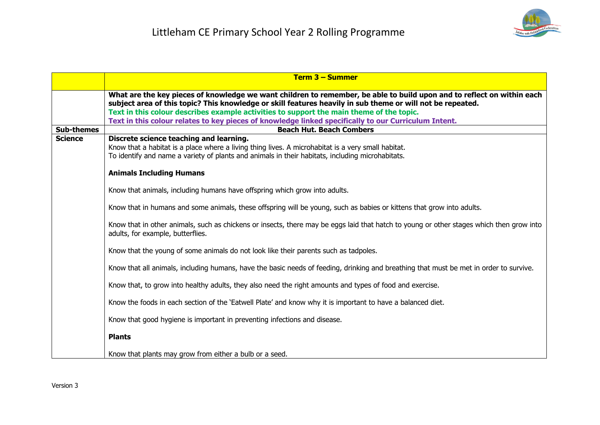

|                   | $Term 3 - Summer$                                                                                                                                                                                                                                                                                                                                                                                                                        |
|-------------------|------------------------------------------------------------------------------------------------------------------------------------------------------------------------------------------------------------------------------------------------------------------------------------------------------------------------------------------------------------------------------------------------------------------------------------------|
|                   | What are the key pieces of knowledge we want children to remember, be able to build upon and to reflect on within each<br>subject area of this topic? This knowledge or skill features heavily in sub theme or will not be repeated.<br>Text in this colour describes example activities to support the main theme of the topic.<br>Text in this colour relates to key pieces of knowledge linked specifically to our Curriculum Intent. |
| <b>Sub-themes</b> | <b>Beach Hut. Beach Combers</b>                                                                                                                                                                                                                                                                                                                                                                                                          |
| <b>Science</b>    | Discrete science teaching and learning.<br>Know that a habitat is a place where a living thing lives. A microhabitat is a very small habitat.<br>To identify and name a variety of plants and animals in their habitats, including microhabitats.                                                                                                                                                                                        |
|                   | <b>Animals Including Humans</b>                                                                                                                                                                                                                                                                                                                                                                                                          |
|                   | Know that animals, including humans have offspring which grow into adults.                                                                                                                                                                                                                                                                                                                                                               |
|                   | Know that in humans and some animals, these offspring will be young, such as babies or kittens that grow into adults.                                                                                                                                                                                                                                                                                                                    |
|                   | Know that in other animals, such as chickens or insects, there may be eggs laid that hatch to young or other stages which then grow into<br>adults, for example, butterflies.                                                                                                                                                                                                                                                            |
|                   | Know that the young of some animals do not look like their parents such as tadpoles.                                                                                                                                                                                                                                                                                                                                                     |
|                   | Know that all animals, including humans, have the basic needs of feeding, drinking and breathing that must be met in order to survive.                                                                                                                                                                                                                                                                                                   |
|                   | Know that, to grow into healthy adults, they also need the right amounts and types of food and exercise.                                                                                                                                                                                                                                                                                                                                 |
|                   | Know the foods in each section of the 'Eatwell Plate' and know why it is important to have a balanced diet.                                                                                                                                                                                                                                                                                                                              |
|                   | Know that good hygiene is important in preventing infections and disease.                                                                                                                                                                                                                                                                                                                                                                |
|                   | <b>Plants</b>                                                                                                                                                                                                                                                                                                                                                                                                                            |
|                   | Know that plants may grow from either a bulb or a seed.                                                                                                                                                                                                                                                                                                                                                                                  |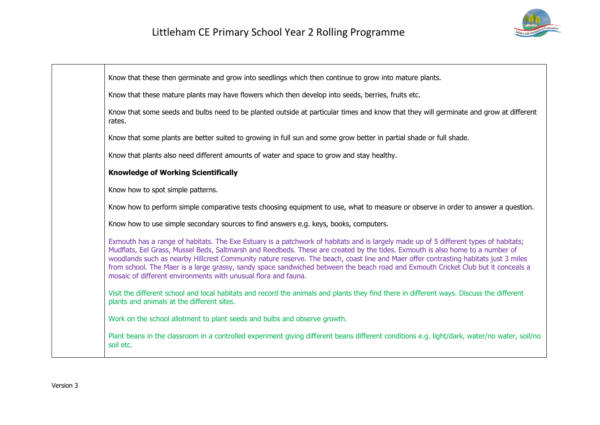

| Know that these then germinate and grow into seedlings which then continue to grow into mature plants.                                                                                                                                                                                                                                                                                                                                                                                                                                                                                                              |
|---------------------------------------------------------------------------------------------------------------------------------------------------------------------------------------------------------------------------------------------------------------------------------------------------------------------------------------------------------------------------------------------------------------------------------------------------------------------------------------------------------------------------------------------------------------------------------------------------------------------|
| Know that these mature plants may have flowers which then develop into seeds, berries, fruits etc.                                                                                                                                                                                                                                                                                                                                                                                                                                                                                                                  |
| Know that some seeds and bulbs need to be planted outside at particular times and know that they will germinate and grow at different<br>rates.                                                                                                                                                                                                                                                                                                                                                                                                                                                                     |
| Know that some plants are better suited to growing in full sun and some grow better in partial shade or full shade.                                                                                                                                                                                                                                                                                                                                                                                                                                                                                                 |
| Know that plants also need different amounts of water and space to grow and stay healthy.                                                                                                                                                                                                                                                                                                                                                                                                                                                                                                                           |
| <b>Knowledge of Working Scientifically</b>                                                                                                                                                                                                                                                                                                                                                                                                                                                                                                                                                                          |
| Know how to spot simple patterns.                                                                                                                                                                                                                                                                                                                                                                                                                                                                                                                                                                                   |
| Know how to perform simple comparative tests choosing equipment to use, what to measure or observe in order to answer a question.                                                                                                                                                                                                                                                                                                                                                                                                                                                                                   |
| Know how to use simple secondary sources to find answers e.g. keys, books, computers.                                                                                                                                                                                                                                                                                                                                                                                                                                                                                                                               |
| Exmouth has a range of habitats. The Exe Estuary is a patchwork of habitats and is largely made up of 5 different types of habitats;<br>Mudflats, Eel Grass, Mussel Beds, Saltmarsh and Reedbeds. These are created by the tides. Exmouth is also home to a number of<br>woodlands such as nearby Hillcrest Community nature reserve. The beach, coast line and Maer offer contrasting habitats just 3 miles<br>from school. The Maer is a large grassy, sandy space sandwiched between the beach road and Exmouth Cricket Club but it conceals a<br>mosaic of different environments with unusual flora and fauna. |
| Visit the different school and local habitats and record the animals and plants they find there in different ways. Discuss the different<br>plants and animals at the different sites.                                                                                                                                                                                                                                                                                                                                                                                                                              |
| Work on the school allotment to plant seeds and bulbs and observe growth.                                                                                                                                                                                                                                                                                                                                                                                                                                                                                                                                           |
| Plant beans in the classroom in a controlled experiment giving different beans different conditions e.g. light/dark, water/no water, soil/no<br>soil etc.                                                                                                                                                                                                                                                                                                                                                                                                                                                           |
|                                                                                                                                                                                                                                                                                                                                                                                                                                                                                                                                                                                                                     |